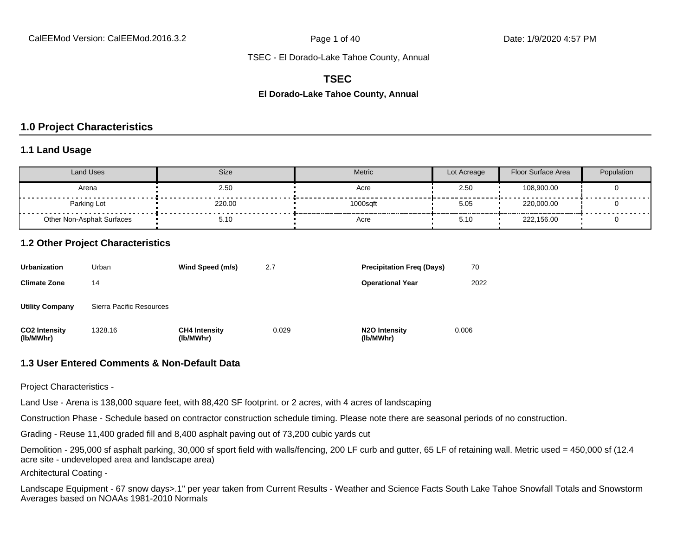**TSEC**

#### **El Dorado-Lake Tahoe County, Annual**

#### **1.0 Project Characteristics**

#### **1.1 Land Usage**

| <b>Land Uses</b>           | Size   | Metric   | Lot Acreage | Floor Surface Area | Population |
|----------------------------|--------|----------|-------------|--------------------|------------|
| Arena                      | 2.50   | Acre     | 2.50        | 108,900.00         |            |
| Parking Lot                | 220.00 | 1000saft | 5.05        | 220.000.00         |            |
| Other Non-Asphalt Surfaces | 5.10   | Acre     | 5.10        | 222,156.00         |            |

#### **1.2 Other Project Characteristics**

| <b>Urbanization</b>               | Urban                    | Wind Speed (m/s)                  | 2.7   | <b>Precipitation Freg (Days)</b>        | 70    |
|-----------------------------------|--------------------------|-----------------------------------|-------|-----------------------------------------|-------|
| <b>Climate Zone</b>               | 14                       |                                   |       | <b>Operational Year</b>                 | 2022  |
| <b>Utility Company</b>            | Sierra Pacific Resources |                                   |       |                                         |       |
| <b>CO2 Intensity</b><br>(lb/MWhr) | 1328.16                  | <b>CH4 Intensity</b><br>(lb/MWhr) | 0.029 | N <sub>2</sub> O Intensity<br>(lb/MWhr) | 0.006 |

#### **1.3 User Entered Comments & Non-Default Data**

Project Characteristics -

Land Use - Arena is 138,000 square feet, with 88,420 SF footprint. or 2 acres, with 4 acres of landscaping

Construction Phase - Schedule based on contractor construction schedule timing. Please note there are seasonal periods of no construction.

Grading - Reuse 11,400 graded fill and 8,400 asphalt paving out of 73,200 cubic yards cut

Demolition - 295,000 sf asphalt parking, 30,000 sf sport field with walls/fencing, 200 LF curb and gutter, 65 LF of retaining wall. Metric used = 450,000 sf (12.4 acre site - undeveloped area and landscape area)

Architectural Coating -

Landscape Equipment - 67 snow days>.1" per year taken from Current Results - Weather and Science Facts South Lake Tahoe Snowfall Totals and Snowstorm Averages based on NOAAs 1981-2010 Normals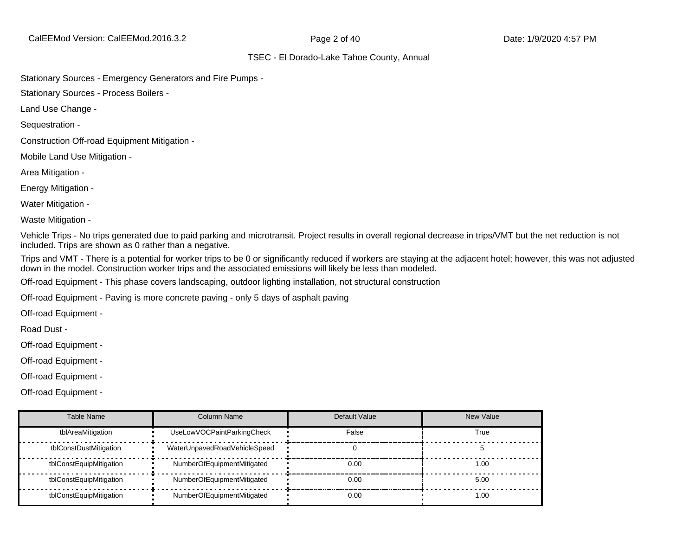Stationary Sources - Emergency Generators and Fire Pumps -

Stationary Sources - Process Boilers -

Land Use Change -

Sequestration -

Construction Off-road Equipment Mitigation -

Mobile Land Use Mitigation -

Area Mitigation -

Energy Mitigation -

Water Mitigation -

Waste Mitigation -

Vehicle Trips - No trips generated due to paid parking and microtransit. Project results in overall regional decrease in trips/VMT but the net reduction is not included. Trips are shown as 0 rather than a negative.

Trips and VMT - There is a potential for worker trips to be 0 or significantly reduced if workers are staying at the adjacent hotel; however, this was not adjusted down in the model. Construction worker trips and the associated emissions will likely be less than modeled.

Off-road Equipment - This phase covers landscaping, outdoor lighting installation, not structural construction

Off-road Equipment - Paving is more concrete paving - only 5 days of asphalt paving

Off-road Equipment -

Road Dust -

Off-road Equipment -

Off-road Equipment -

Off-road Equipment -

Off-road Equipment -

| Table Name              | Column Name                  | Default Value | New Value |
|-------------------------|------------------------------|---------------|-----------|
| tblAreaMitigation       | UseLowVOCPaintParkingCheck   | False         | True      |
| tblConstDustMitigation  | WaterUnpavedRoadVehicleSpeed |               |           |
| tblConstEquipMitigation | NumberOfEquipmentMitigated   | 0.00          | 1.00      |
| tblConstEquipMitigation | NumberOfEquipmentMitigated   | 0.00          | 5.00      |
| tblConstEquipMitigation | NumberOfEquipmentMitigated   | 0.00          | 1.00      |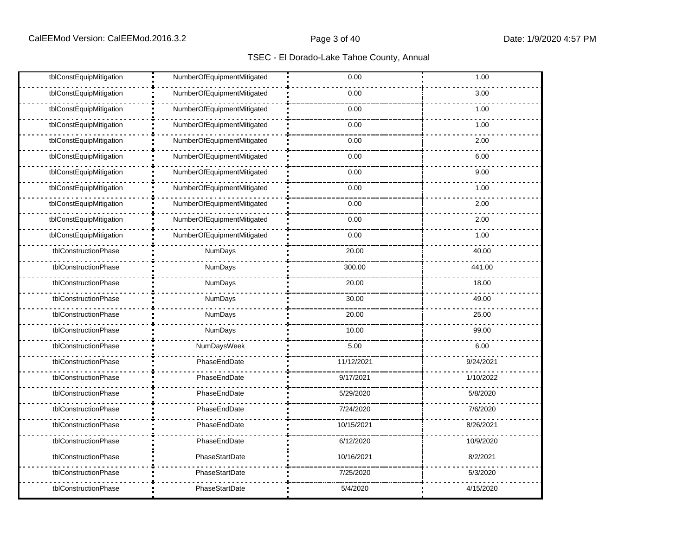| tblConstEquipMitigation | NumberOfEquipmentMitigated | 0.00       | 1.00      |
|-------------------------|----------------------------|------------|-----------|
| tblConstEquipMitigation | NumberOfEquipmentMitigated | 0.00       | 3.00      |
| tblConstEquipMitigation | NumberOfEquipmentMitigated | 0.00       | 1.00      |
| tblConstEquipMitigation | NumberOfEquipmentMitigated | 0.00       | 1.00      |
| tblConstEquipMitigation | NumberOfEquipmentMitigated | 0.00       | 2.00      |
| tblConstEquipMitigation | NumberOfEquipmentMitigated | 0.00       | 6.00      |
| tblConstEquipMitigation | NumberOfEquipmentMitigated | 0.00       | 9.00      |
| tblConstEquipMitigation | NumberOfEquipmentMitigated | 0.00       | 1.00      |
| tblConstEquipMitigation | NumberOfEquipmentMitigated | 0.00       | 2.00      |
| tblConstEquipMitigation | NumberOfEquipmentMitigated | 0.00       | 2.00      |
| tblConstEquipMitigation | NumberOfEquipmentMitigated | 0.00       | 1.00      |
| tblConstructionPhase    | NumDays                    | 20.00      | 40.00     |
| tblConstructionPhase    | NumDays                    | 300.00     | 441.00    |
| tblConstructionPhase    | NumDays                    | 20.00      | 18.00     |
| tblConstructionPhase    | NumDays                    | 30.00      | 49.00     |
| tblConstructionPhase    | NumDays                    | 20.00      | 25.00     |
| tblConstructionPhase    | NumDays                    | 10.00      | 99.00     |
| tblConstructionPhase    | NumDaysWeek                | 5.00       | 6.00      |
| tblConstructionPhase    | PhaseEndDate               | 11/12/2021 | 9/24/2021 |
| tblConstructionPhase    | PhaseEndDate               | 9/17/2021  | 1/10/2022 |
| tblConstructionPhase    | PhaseEndDate               | 5/29/2020  | 5/8/2020  |
| tblConstructionPhase    | PhaseEndDate               | 7/24/2020  | 7/6/2020  |
| tblConstructionPhase    | PhaseEndDate               | 10/15/2021 | 8/26/2021 |
| tblConstructionPhase    | PhaseEndDate               | 6/12/2020  | 10/9/2020 |
| tblConstructionPhase    | PhaseStartDate             | 10/16/2021 | 8/2/2021  |
| tblConstructionPhase    | PhaseStartDate             | 7/25/2020  | 5/3/2020  |
| tblConstructionPhase    | PhaseStartDate             | 5/4/2020   | 4/15/2020 |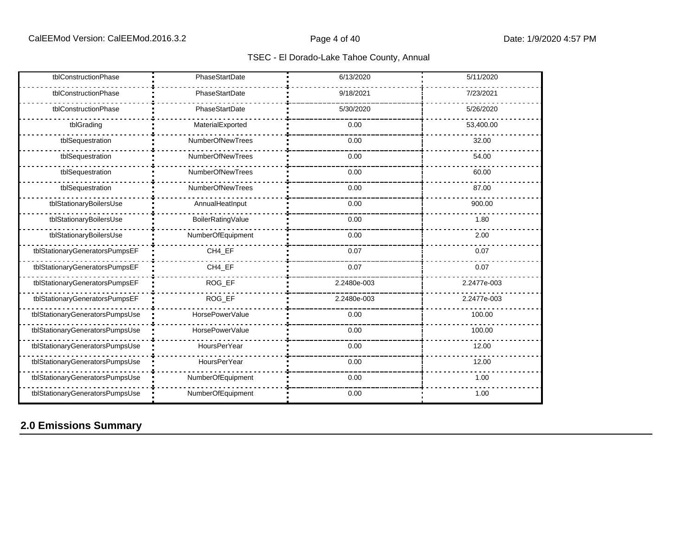| tblConstructionPhase            | PhaseStartDate          | 6/13/2020   | 5/11/2020   |
|---------------------------------|-------------------------|-------------|-------------|
| tblConstructionPhase            | PhaseStartDate          | 9/18/2021   | 7/23/2021   |
| tblConstructionPhase            | PhaseStartDate          | 5/30/2020   | 5/26/2020   |
| tblGrading                      | MaterialExported        | 0.00        | 53,400.00   |
| tblSequestration                | <b>NumberOfNewTrees</b> | 0.00        | 32.00       |
| tblSequestration                | NumberOfNewTrees        | 0.00        | 54.00       |
| tblSequestration                | NumberOfNewTrees        | 0.00        | 60.00       |
| tblSequestration                | NumberOfNewTrees        | 0.00        | 87.00       |
| tblStationaryBoilersUse         | AnnualHeatInput         | 0.00        | 900.00      |
| tblStationaryBoilersUse         | BoilerRatingValue       | 0.00        | 1.80        |
| tblStationaryBoilersUse         | NumberOfEquipment       | 0.00        | 2.00        |
| tblStationaryGeneratorsPumpsEF  | CH4_EF                  | 0.07        | 0.07        |
| tblStationaryGeneratorsPumpsEF  | CH4_EF                  | 0.07        | 0.07        |
| tblStationaryGeneratorsPumpsEF  | ROG_EF                  | 2.2480e-003 | 2.2477e-003 |
| tblStationaryGeneratorsPumpsEF  | ROG_EF                  | 2.2480e-003 | 2.2477e-003 |
| tblStationaryGeneratorsPumpsUse | HorsePowerValue         | 0.00        | 100.00      |
| tblStationaryGeneratorsPumpsUse | HorsePowerValue         | 0.00        | 100.00      |
| tblStationaryGeneratorsPumpsUse | HoursPerYear            | 0.00        | 12.00       |
| tblStationaryGeneratorsPumpsUse | HoursPerYear            | 0.00        | 12.00       |
| tblStationaryGeneratorsPumpsUse | NumberOfEquipment       | 0.00        | 1.00        |
| tblStationaryGeneratorsPumpsUse | NumberOfEquipment       | 0.00        | 1.00        |

# **2.0 Emissions Summary**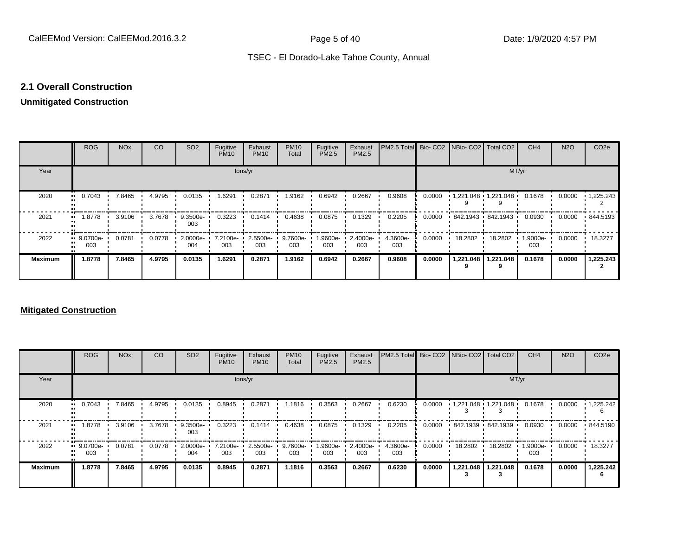#### **2.1 Overall Construction**

### **Unmitigated Construction**

|                | <b>ROG</b>                     | <b>NO<sub>x</sub></b>                                                                                                                                 | SO <sub>2</sub><br>CO<br><b>PM2.5 Total</b> Bio- CO2 NBio- CO2   Total CO2<br>Fugitive<br>Fugitive<br>Exhaust<br><b>PM10</b><br>Exhaust<br><b>PM10</b><br>PM2.5<br><b>PM10</b><br>PM2.5<br>Total |                 |         |        |        |        |        |        |        |           |                         | CH <sub>4</sub> | <b>N2O</b> | CO <sub>2</sub> e |
|----------------|--------------------------------|-------------------------------------------------------------------------------------------------------------------------------------------------------|--------------------------------------------------------------------------------------------------------------------------------------------------------------------------------------------------|-----------------|---------|--------|--------|--------|--------|--------|--------|-----------|-------------------------|-----------------|------------|-------------------|
| Year           |                                |                                                                                                                                                       |                                                                                                                                                                                                  |                 | tons/yr |        |        |        |        |        |        |           | MT/yr                   |                 |            |                   |
| 2020           | 0.7043                         | 7.8465                                                                                                                                                | 4.9795                                                                                                                                                                                           | 0.0135          | 1.6291  | 0.2871 | 1.9162 | 0.6942 | 0.2667 | 0.9608 | 0.0000 |           | $1,221.048$ $1,221.048$ | 0.1678          | 0.0000     | $\cdot$ 1,225.243 |
| 2021           | 1.8778<br>$\bullet\bullet$     | 3.9106                                                                                                                                                | 3.7678                                                                                                                                                                                           | 9.3500e-<br>003 | 0.3223  | 0.1414 | 0.4638 | 0.0875 | 0.1329 | 0.2205 | 0.0000 |           | 842.1943 842.1943       | 0.0930          | 0.0000     | .844.5193         |
| 2022           | $\blacksquare$ 9.0700e-<br>003 | 4.3600e-<br>0.0781<br>0.0778<br>2.0000e-<br>7.2100e-<br>9.7600e-<br>1.9600e-<br>2.5500e-<br>2.4000e-<br>004<br>003<br>003<br>003<br>003<br>003<br>003 |                                                                                                                                                                                                  |                 |         |        |        |        |        |        |        | 18.2802   | 18.2802                 | 1.9000e-<br>003 | 0.0000     | 18.3277           |
| <b>Maximum</b> | 1.8778                         | 4.9795<br>7.8465<br>0.0135<br>1.6291<br>0.2871<br>1.9162<br>0.6942<br>0.2667<br>0.9608                                                                |                                                                                                                                                                                                  |                 |         |        |        |        |        |        |        | 1,221.048 | 1,221.048               | 0.1678          | 0.0000     | 1,225.243         |

#### **Mitigated Construction**

|                | <b>ROG</b>        | <b>NO<sub>x</sub></b>                                                                                                                       | CO     | SO <sub>2</sub> | Fugitive<br><b>PM10</b> | Exhaust<br><b>PM10</b> | <b>PM10</b><br>Total | Fugitive<br>PM2.5 | Exhaust<br>PM2.5 | PM2.5 Total Bio- CO2 NBio- CO2 Total CO2 |        |         |                         | CH <sub>4</sub> | <b>N2O</b> | CO <sub>2e</sub>  |
|----------------|-------------------|---------------------------------------------------------------------------------------------------------------------------------------------|--------|-----------------|-------------------------|------------------------|----------------------|-------------------|------------------|------------------------------------------|--------|---------|-------------------------|-----------------|------------|-------------------|
| Year           |                   |                                                                                                                                             |        |                 |                         | tons/yr                |                      |                   |                  |                                          | MT/yr  |         |                         |                 |            |                   |
| 2020           | 0.7043            | 7.8465                                                                                                                                      | 4.9795 | 0.0135          | 0.8945                  | 0.2871                 | 1.1816               | 0.3563            | 0.2667           | 0.6230                                   | 0.0000 |         | $1,221.048$ $1,221.048$ | 0.1678          | 0.0000     | $\cdot$ 1,225.242 |
| 2021           | 1.8778            | 3.9106                                                                                                                                      | 3.7678 | 9.3500e-<br>003 | 0.3223                  | 0.1414                 | 0.4638               | 0.0875            | 0.1329           | 0.2205                                   | 0.0000 |         | 842.1939 842.1939       | 0.0930          | 0.0000     | .844.5190         |
| 2022           | " 9.0700e-<br>003 | 0.0781<br>0.0778<br>2.0000e-<br>7.2100e-<br>2.5500e-<br>9.7600e-<br>$.9600e -$<br>2.4000e-<br>003<br>003<br>003<br>004<br>003<br>003<br>003 |        |                 |                         |                        |                      |                   |                  | 4.3600e-                                 | 0.0000 | 18.2802 | 18.2802                 | 1.9000e-<br>003 | 0.0000     | 18.3277           |
| <b>Maximum</b> | 1.8778            | 7.8465<br>4.9795<br>0.0135<br>0.8945<br>0.2871<br>1.1816<br>0.6230<br>0.3563<br>0.2667                                                      |        |                 |                         |                        |                      |                   |                  |                                          | 0.0000 |         | 1,221.048   1,221.048   | 0.1678          | 0.0000     | 1,225.242         |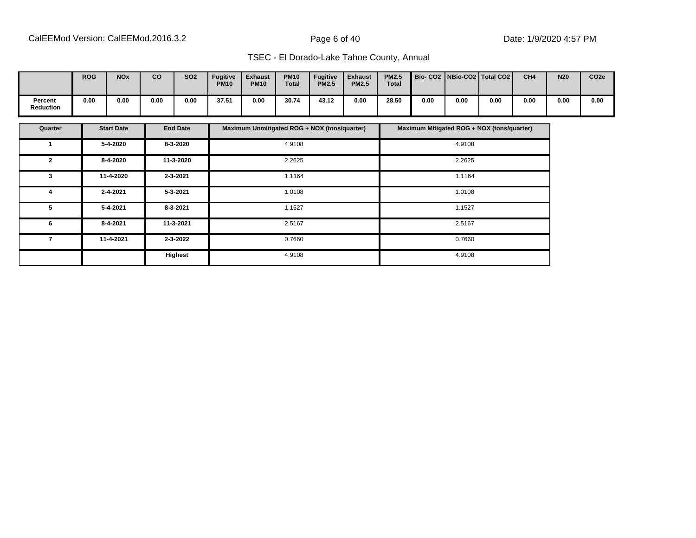|                             | <b>ROG</b> | <b>NO<sub>x</sub></b> | CO   | <b>SO2</b> | <b>Fugitive</b><br><b>PM10</b> | <b>Exhaust</b><br><b>PM10</b> | <b>PM10</b><br>Total | <b>Fugitive</b><br><b>PM2.5</b> | <b>Exhaust</b><br><b>PM2.5</b> | <b>PM2.5</b><br><b>Total</b> | Bio- CO2   NBio-CO2   Total CO2 |      |      | CH <sub>4</sub> | <b>N20</b> | CO <sub>2e</sub> |
|-----------------------------|------------|-----------------------|------|------------|--------------------------------|-------------------------------|----------------------|---------------------------------|--------------------------------|------------------------------|---------------------------------|------|------|-----------------|------------|------------------|
| Percent<br><b>Reduction</b> | 0.00       | 0.00                  | 0.00 | 0.00       | 37.51                          | 0.00                          | 30.74                | 43.12                           | 0.00                           | 28.50                        | 0.00                            | 0.00 | 0.00 | 0.00            | 0.00       | 0.00             |

| Quarter      | <b>Start Date</b> | <b>End Date</b> | Maximum Unmitigated ROG + NOX (tons/quarter) | Maximum Mitigated ROG + NOX (tons/quarter) |
|--------------|-------------------|-----------------|----------------------------------------------|--------------------------------------------|
|              | 5-4-2020          | 8-3-2020        | 4.9108                                       | 4.9108                                     |
| $\mathbf{2}$ | 8-4-2020          | 11-3-2020       | 2.2625                                       | 2.2625                                     |
| 3            | 11-4-2020         | 2-3-2021        | 1.1164                                       | 1.1164                                     |
| 4            | 2-4-2021          | $5 - 3 - 2021$  | 1.0108                                       | 1.0108                                     |
| 5            | 5-4-2021          | 8-3-2021        | 1.1527                                       | 1.1527                                     |
| 6            | 8-4-2021          | 11-3-2021       | 2.5167                                       | 2.5167                                     |
| 7            | 11-4-2021         | 2-3-2022        | 0.7660                                       | 0.7660                                     |
|              |                   | <b>Highest</b>  | 4.9108                                       | 4.9108                                     |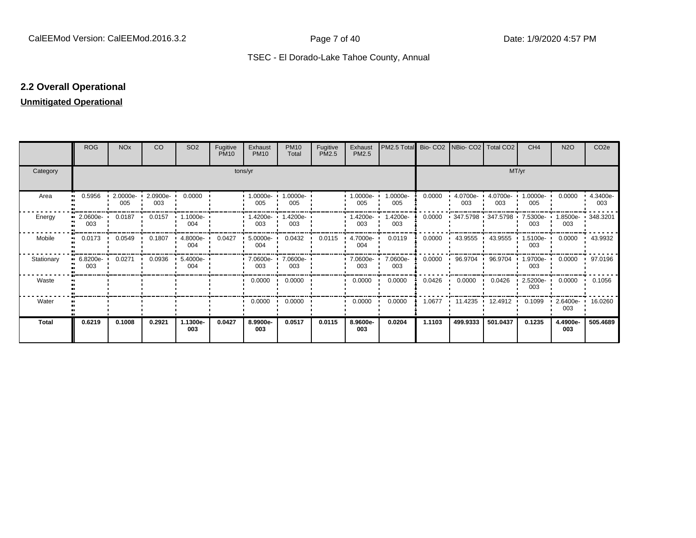# **2.2 Overall Operational**

#### **Unmitigated Operational**

|              | <b>ROG</b>            | <b>NO<sub>x</sub></b> | CO              | SO <sub>2</sub>  | Fugitive<br><b>PM10</b> | Exhaust<br><b>PM10</b> | <b>PM10</b><br>Total | Fugitive<br>PM2.5 | Exhaust<br>PM2.5      | PM2.5 Total     | Bio-CO <sub>2</sub> | NBio- CO2   Total CO2 |                   | CH <sub>4</sub>    | <b>N2O</b>      | CO <sub>2e</sub> |  |  |
|--------------|-----------------------|-----------------------|-----------------|------------------|-------------------------|------------------------|----------------------|-------------------|-----------------------|-----------------|---------------------|-----------------------|-------------------|--------------------|-----------------|------------------|--|--|
| Category     |                       |                       |                 |                  | tons/yr                 |                        |                      |                   |                       |                 | MT/yr               |                       |                   |                    |                 |                  |  |  |
| Area         | 0.5956<br>            | 2.0000e-<br>005       | 2.0900e-<br>003 | 0.0000           |                         | 1.0000e-<br>005        | 1.0000e-<br>005      |                   | 1.0000e-<br>005       | 1.0000e-<br>005 | 0.0000              | 4.0700e-<br>003       | 4.0700e-<br>003   | 1.0000e-<br>005    | 0.0000          | 4.3400e-<br>003  |  |  |
| Energy       | $2.0600e-$<br><br>003 | 0.0187                | 0.0157          | 1.1000e ·<br>004 |                         | 1.4200e-<br>003        | 1.4200e-<br>003      |                   | 1.4200e-<br>003       | 1.4200e-<br>003 | 0.0000              |                       | 347.5798 347.5798 | 7.5300e-<br>003    | 1.8500e-<br>003 | $\cdot$ 348.3201 |  |  |
| Mobile       | 0.0173                | 0.0549                | 0.1807          | 4.8000e-<br>004  | 0.0427                  | 5.0000e-<br>004        | 0.0432               | 0.0115            | 4.7000e-<br>004       | 0.0119          | 0.0000              | 43.9555               | 43.9555           | 1.5100e-<br>003    | 0.0000          | 43.9932          |  |  |
| Stationary   | 6.8200e-<br>003       | 0.0271                | 0.0936          | 5.4000e-<br>004  |                         | 7.0600e-<br>003        | 7.0600e-<br>003      |                   | $17.0600e - 1$<br>003 | 7.0600e-<br>003 | 0.0000              | 96.9704               | 96.9704           | $1.9700e-$<br>003  | 0.0000          | 97.0196          |  |  |
| Waste        |                       |                       |                 |                  |                         | 0.0000                 | 0.0000               |                   | 0.0000                | 0.0000          | 0.0426              | 0.0000                | 0.0426            | $2.5200e -$<br>003 | 0.0000          | 0.1056           |  |  |
| Water        |                       |                       |                 |                  |                         | 0.0000                 | 0.0000               |                   | 0.0000                | 0.0000          | 1.0677              | 11.4235 1 12.4912     |                   | 0.1099             | 2.6400e-<br>003 | 16.0260          |  |  |
| <b>Total</b> | 0.6219                | 0.1008                | 0.2921          | 1.1300e-<br>003  | 0.0427                  | 8.9900e-<br>003        | 0.0517               | 0.0115            | 8.9600e-<br>003       | 0.0204          | 1.1103              | 499.9333              | 501.0437          | 0.1235             | 4.4900e-<br>003 | 505.4689         |  |  |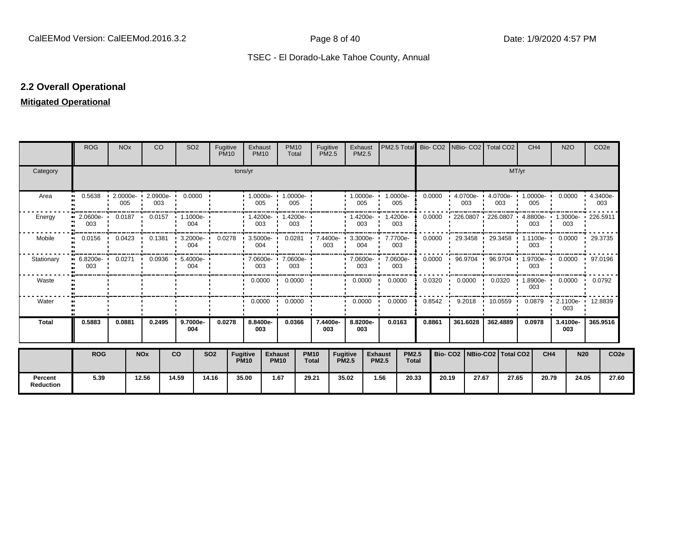# **2.2 Overall Operational**

### **Mitigated Operational**

|                      | <b>ROG</b>                                       | <b>NO<sub>x</sub></b> |                       | CO     | <b>SO2</b>                       | Fugitive<br><b>PM10</b> |                                | Exhaust<br><b>PM10</b> | <b>PM10</b><br>Total               | Fugitive<br><b>PM2.5</b>    |                                 | Exhaust<br><b>PM2.5</b> | PM2.5 Total Bio- CO2 NBio- CO2 Total CO2 |                       |        |                                                      |       |           | CH <sub>4</sub> | <b>N2O</b>                     |            | CO <sub>2e</sub>         |
|----------------------|--------------------------------------------------|-----------------------|-----------------------|--------|----------------------------------|-------------------------|--------------------------------|------------------------|------------------------------------|-----------------------------|---------------------------------|-------------------------|------------------------------------------|-----------------------|--------|------------------------------------------------------|-------|-----------|-----------------|--------------------------------|------------|--------------------------|
| Category             |                                                  |                       |                       |        |                                  | tons/yr                 |                                |                        |                                    |                             |                                 |                         | MT/yr                                    |                       |        |                                                      |       |           |                 |                                |            |                          |
| Area                 | 0.5638<br>$\bullet$                              | 005                   |                       | 003    | $\cdot$ 2.0000e- 2.0900e- 0.0000 |                         |                                | $005$ $\phantom{0}$    | $1.0000e - 1.0000e - 1$<br>005     |                             |                                 | 005                     | $1.0000e - 1.0000e$<br>005               |                       | 0.0000 | 0.0000 · 4.0700e · 1.0000e · 0.0000 · 4.3400e<br>003 | 003   |           | 005             |                                |            | 003                      |
| Energy               | 2.0600e- 0.0187 0.0157 1.1000e-<br>003           |                       |                       |        | 004                              |                         |                                | 003                    | $\cdot$ 1.4200e- 1.4200e- 1<br>003 |                             |                                 | $1.4200e -$<br>003      | 1.4200e-<br>003                          |                       | 0.0000 | 226.0807 · 226.0807 · 4.8800e- · 1.3000e- · 226.5911 |       |           | 003             | 003                            |            |                          |
| Mobile               | 0.0156                                           | 0.0423                |                       | 0.1381 | 3.2000e-<br>004                  | 0.0278                  |                                | 3.5000e- 0.0281<br>004 |                                    | $-7.4400e-$<br>003          |                                 | 004                     | 3.3000e- 1 7.7700e-<br>003               |                       | 0.0000 | 29.3458 ·                                            |       | 29.3458 · | 1.1100e-<br>003 |                                |            | $0.0000$ $\cdot$ 29.3735 |
| Stationary           | $\bullet$ 6.8200e $\bullet$ 0.0271 0.0936<br>003 |                       |                       |        | $5.4000e -$<br>004               |                         |                                |                        | 1 7.0600e- 1 7.0600e- 1<br>003 003 |                             |                                 | 003                     | 7.0600e- 7.0600e-<br>003                 |                       | 0.0000 | 96.9704 ·                                            |       |           | 003             | 96.9704 1.9700e 0.0000 97.0196 |            |                          |
| Waste                |                                                  |                       |                       |        |                                  |                         |                                |                        | $0.0000$ $\cdot$ 0.0000 $\cdot$    |                             |                                 | 0.0000                  | 0.0000<br>. .                            |                       | 0.0320 | 0.0000                                               |       |           | 003             | $0.0320$ 1.8900e 0.0000 0.0792 |            |                          |
| Water                |                                                  |                       |                       |        |                                  |                         |                                |                        | $0.0000$ $\cdot$ 0.0000 $\cdot$    |                             |                                 | 0.0000                  | 0.0000                                   |                       | 0.8542 | 9.2018 10.0559 0.0879 2.1100e 12.8839                |       |           |                 | 003                            |            |                          |
| <b>Total</b>         | 0.5883                                           | 0.0881                |                       | 0.2495 | 9.7000e-<br>004                  | 0.0278                  |                                | 8.8400e-<br>003        | 0.0366                             | 7.4400e-<br>003             |                                 | 8.8200e-<br>003         | 0.0163                                   |                       | 0.8861 | 361.6028                                             |       | 362.4889  | 0.0978          | 3.4100e-<br>003                |            | 365.9516                 |
|                      | <b>ROG</b>                                       |                       | <b>NO<sub>x</sub></b> |        | <b>CO</b>                        | <b>SO2</b>              | <b>Fugitive</b><br><b>PM10</b> |                        | <b>Exhaust</b><br><b>PM10</b>      | <b>PM10</b><br><b>Total</b> | <b>Fugitive</b><br><b>PM2.5</b> |                         | <b>Exhaust</b><br><b>PM2.5</b>           | PM2.5<br><b>Total</b> |        | Bio- CO2   NBio-CO2   Total CO2                      |       |           |                 | CH <sub>4</sub>                | <b>N20</b> | CO <sub>2e</sub>         |
| Percent<br>Reduction | 5.39                                             |                       | 12.56                 |        | 14.59                            | 14.16                   | 35.00                          |                        | 1.67                               | 29.21                       | 35.02                           |                         | 1.56                                     | 20.33                 | 20.19  |                                                      | 27.67 | 27.65     |                 | 20.79                          | 24.05      | 27.60                    |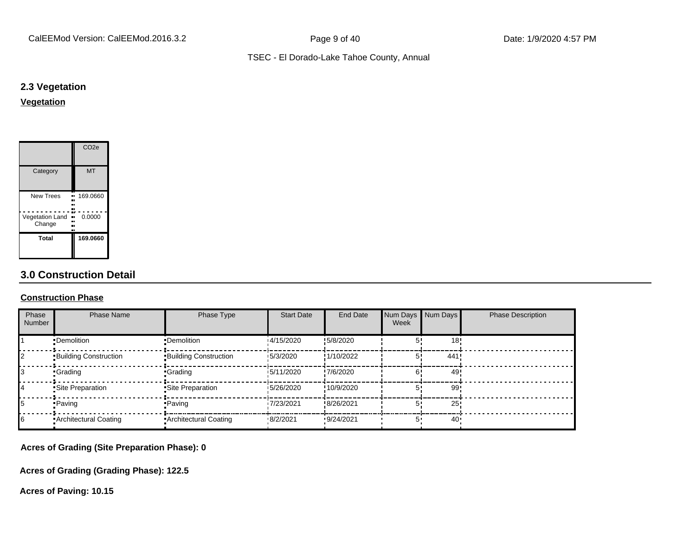#### **2.3 Vegetation**

**Vegetation**

|                                  | CO <sub>2e</sub> |
|----------------------------------|------------------|
| Category                         | <b>MT</b>        |
| <b>New Trees</b>                 | 169.0660         |
| <b>Vegetation Land</b><br>Change | 0.0000           |
| Total                            | 169.0660         |

#### **3.0 Construction Detail**

#### **Construction Phase**

| Phase<br>Number | <b>Phase Name</b>            | Phase Type                   | <b>Start Date</b> | End Date   | Week | Num Days Num Days | <b>Phase Description</b> |
|-----------------|------------------------------|------------------------------|-------------------|------------|------|-------------------|--------------------------|
|                 | •Demolition                  | •Demolition                  | 14/15/2020        | !5/8/2020  |      | 18                |                          |
|                 | <b>Building Construction</b> | <b>Building Construction</b> | 15/3/2020         | !1/10/2022 |      | 441               |                          |
|                 | •Grading                     | •Grading                     | 15/11/2020        | !7/6/2020  |      | 49'               |                          |
|                 | Site Preparation             | Site Preparation             | 15/26/2020        | !10/9/2020 |      | 99                |                          |
|                 | • Paving                     | • Paving                     | 17/23/2021        | !8/26/2021 |      | 25                |                          |
|                 | Architectural Coating        | • Architectural Coating      | 8/2/2021          | 9/24/2021  |      | 40 <sup>°</sup>   |                          |

**Acres of Grading (Site Preparation Phase): 0**

**Acres of Grading (Grading Phase): 122.5**

**Acres of Paving: 10.15**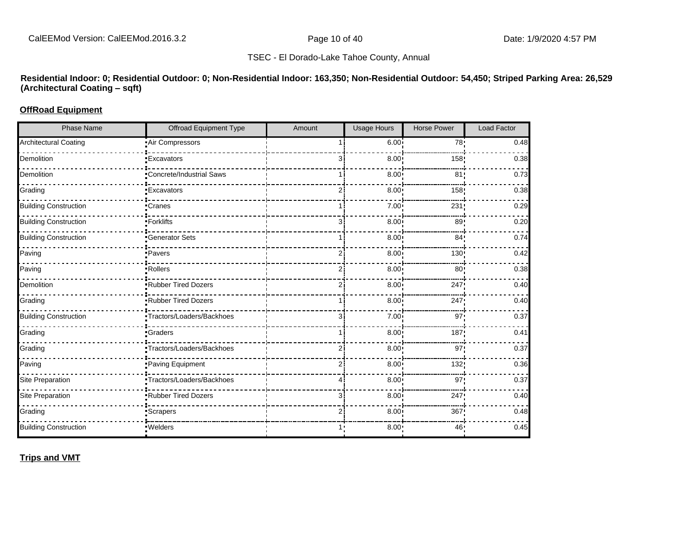**Residential Indoor: 0; Residential Outdoor: 0; Non-Residential Indoor: 163,350; Non-Residential Outdoor: 54,450; Striped Parking Area: 26,529 (Architectural Coating ±sqft)**

# **OffRoad Equipment**

| <b>Phase Name</b>            | <b>Offroad Equipment Type</b> | Amount | <b>Usage Hours</b> | <b>Horse Power</b> | <b>Load Factor</b> |
|------------------------------|-------------------------------|--------|--------------------|--------------------|--------------------|
| <b>Architectural Coating</b> | Air Compressors               |        | 6.00:              | 78!                | 0.48               |
| Demolition                   | <b>Excavators</b>             | 31     | 8.00               | 158                | 0.38               |
| Demolition                   | -Concrete/Industrial Saws     |        | 8.00               | 81 <sub>1</sub>    | 0.73               |
| Grading                      | Excavators                    | 2i     | 8.00               | 158                | 0.38               |
| <b>Building Construction</b> | Cranes <sup>-</sup>           |        | 7.00               | 231                | 0.29               |
| <b>Building Construction</b> | -Forklifts                    | 3      | 8.00               | 89:                | 0.20               |
| <b>Building Construction</b> | -Generator Sets               |        | 8.00               | 84!                | 0.74               |
| Paving                       | Pavers                        | 2      | 8.00               | 130                | 0.42               |
| Paving                       | Rollers <sup>-</sup>          |        | 8.00               | 80 <sub>1</sub>    | 0.38               |
| Demolition                   | Rubber Tired Dozers           |        | 8.00               | 247                | 0.40               |
| Grading                      | Rubber Tired Dozers           |        | 8.00               | 247                | 0.40               |
| <b>Building Construction</b> | Tractors/Loaders/Backhoes     | 3i     | 7.00               | 97                 | 0.37               |
| Grading                      | <b>Craders</b>                |        | 8.00               | 187                | 0.41               |
| Grading                      | Tractors/Loaders/Backhoes     | 2      | 8.00               | 97                 | 0.37               |
| Paving                       | Paving Equipment              | 2i     | 8.00               | 132                | 0.36               |
| Site Preparation             | Tractors/Loaders/Backhoes     | 4i     | 8.00               | 97                 | 0.37               |
| Site Preparation             | Rubber Tired Dozers           | Зi     | 8.00               | 247                | 0.40               |
| Grading                      | Scrapers <sup>-</sup>         | ا 2    | 8.00               | 367                | 0.48               |
| <b>Building Construction</b> | •Welders                      | 1:     | 8.00:              | 46'                | 0.45               |

**Trips and VMT**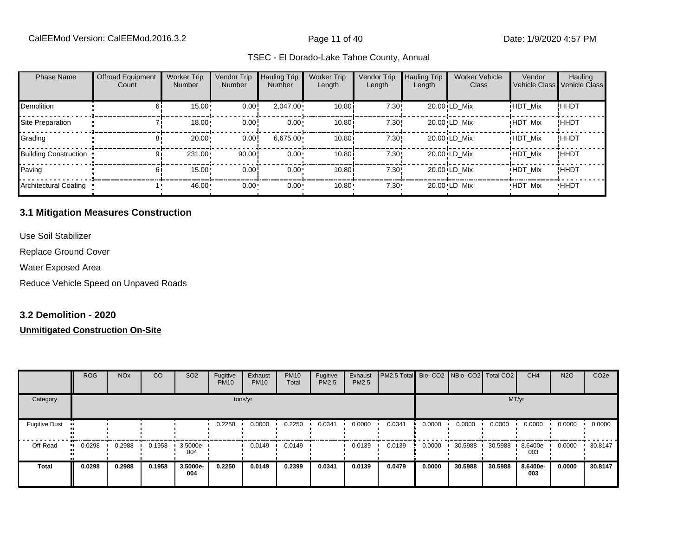|  | TSEC - El Dorado-Lake Tahoe County, Annual |  |  |
|--|--------------------------------------------|--|--|
|--|--------------------------------------------|--|--|

| <b>Phase Name</b>            | <b>Offroad Equipment</b><br>Count | <b>Worker Trip</b><br><b>Number</b> | Vendor Trip<br><b>Number</b> | <b>Hauling Trip</b><br>Number | <b>Worker Trip</b><br>Length | Vendor Trip<br>Length | <b>Hauling Trip</b><br>Length | <b>Worker Vehicle</b><br>Class | Vendor         | Hauling<br>Vehicle Class Vehicle Class |
|------------------------------|-----------------------------------|-------------------------------------|------------------------------|-------------------------------|------------------------------|-----------------------|-------------------------------|--------------------------------|----------------|----------------------------------------|
| <b>Demolition</b>            |                                   | 15.00                               | 0.00                         | $2,047.00 \cdot$              | 10.80i                       | 7.30!                 |                               | 20.00 LD Mix                   | <b>HDT Mix</b> | !HHDT                                  |
| Site Preparation             |                                   | 18.00                               | 0.00                         | $0.00 \cdot$                  | 10.80i                       | 7.30!                 |                               | 20.00 LD Mix                   | <b>HDT Mix</b> | !HHDT                                  |
| Grading                      |                                   | 20.00                               | 0.00                         | 6.675.00                      | 10.80                        | 7.30!                 |                               | 20.00 LD Mix                   | <b>HDT Mix</b> | !HHDT                                  |
| <b>Building Construction</b> |                                   | 231.00                              | 90.00                        | $0.00 \cdot$                  | 10.80i                       | 7.30!                 |                               | 20.00 LD Mix                   | <b>HDT Mix</b> | !HHDT                                  |
| Paving                       |                                   | 15.00                               | 0.00                         | $0.00 \cdot$                  | 10.80                        | 7.30!                 |                               | 20.00 LD Mix                   | <b>HDT Mix</b> | !HHDT                                  |
| Architectural Coating        |                                   | 46.00                               | $0.00 \cdot$                 | $0.00 \cdot$                  | 10.80                        | $7.30 \cdot$          |                               | 20.00 LD Mix                   | <b>HDT Mix</b> | <b>HHDT</b>                            |

#### **3.1 Mitigation Measures Construction**

Use Soil Stabilizer

Replace Ground Cover

Water Exposed Area

Reduce Vehicle Speed on Unpaved Roads

#### **3.2 Demolition - 2020**

|                      | <b>ROG</b> | <b>NO<sub>x</sub></b> | CO     | SO <sub>2</sub>    | Fugitive<br><b>PM10</b> | Exhaust<br><b>PM10</b> | <b>PM10</b><br>Total | Fugitive<br>PM2.5 | Exhaust<br>PM2.5 | PM2.5 Total Bio- CO2 NBio- CO2 Total CO2 |        |         |         | CH <sub>4</sub> | <b>N2O</b> | CO <sub>2e</sub> |
|----------------------|------------|-----------------------|--------|--------------------|-------------------------|------------------------|----------------------|-------------------|------------------|------------------------------------------|--------|---------|---------|-----------------|------------|------------------|
| Category             |            |                       |        |                    |                         | tons/yr                |                      |                   |                  |                                          |        |         | MT/yr   |                 |            |                  |
| <b>Fugitive Dust</b> |            |                       |        |                    | 0.2250                  | 0.0000                 | 0.2250               | 0.0341            | 0.0000           | 0.0341                                   | 0.0000 | 0.0000  | 0.0000  | 0.0000          | 0.0000     | 0.0000           |
| Off-Road             | 0.0298     | 0.2988                | 0.1958 | $3.5000e -$<br>004 |                         | 0.0149                 | 0.0149               |                   | 0.0139           | 0.0139                                   | 0.0000 | 30.5988 | 30.5988 | 8.6400e-<br>003 | 0.0000     | 30.8147          |
| <b>Total</b>         | 0.0298     | 0.2988                | 0.1958 | 3.5000e-<br>004    | 0.2250                  | 0.0149                 | 0.2399               | 0.0341            | 0.0139           | 0.0479                                   | 0.0000 | 30.5988 | 30.5988 | 8.6400e-<br>003 | 0.0000     | 30,8147          |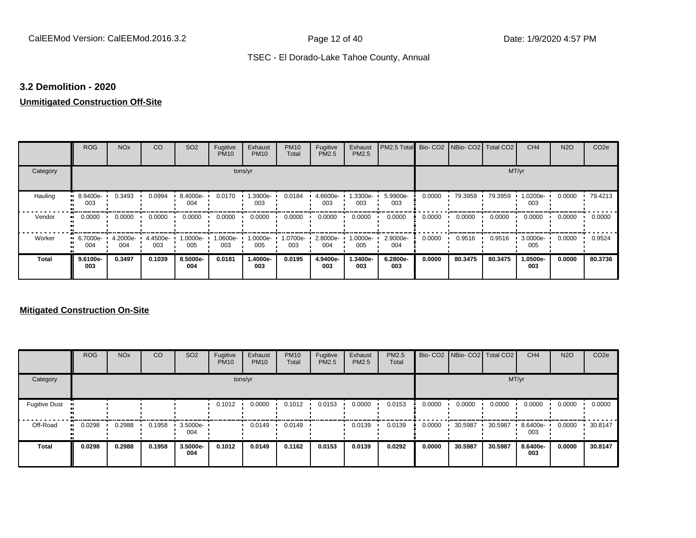#### **3.2 Demolition - 2020**

# **Unmitigated Construction Off-Site**

|               | <b>ROG</b>          | <b>NO<sub>x</sub></b> | CO              | SO <sub>2</sub> | Fugitive<br><b>PM10</b> | Exhaust<br><b>PM10</b> | <b>PM10</b><br>Total | Fugitive<br><b>PM2.5</b> | Exhaust<br>PM2.5 | PM2.5 Total Bio- CO2 NBio- CO2 Total CO2 |        |         |         | CH <sub>4</sub> | <b>N2O</b> | CO <sub>2e</sub> |
|---------------|---------------------|-----------------------|-----------------|-----------------|-------------------------|------------------------|----------------------|--------------------------|------------------|------------------------------------------|--------|---------|---------|-----------------|------------|------------------|
| Category      |                     |                       |                 |                 | tons/yr                 |                        |                      |                          |                  |                                          | MT/yr  |         |         |                 |            |                  |
| Hauling<br>81 | 8.9400e-<br>003     | 0.3493                | 0.0994          | 8.4000e-<br>004 | 0.0170                  | -.3900e<br>003         | 0.0184               | 4.6600e-<br>003          | 1.3300e-<br>003  | 5.9900e-<br>003                          | 0.0000 | 79.3959 | 79.3959 | 1.0200e-<br>003 | 0.0000     | 79.4213          |
| Vendor        | 0.0000<br>$\bullet$ | 0.0000                | 0.0000          | 0.0000          | 0.0000                  | 0.0000                 | 0.0000               | 0.0000                   | 0.0000           | 0.0000                                   | 0.0000 | 0.0000  | 0.0000  | 0.0000          | 0.0000     | 0.0000           |
| Worker        | $-6.7000e-$<br>004  | 4.2000e-<br>004       | 4.4500e-<br>003 | 1.0000e-<br>005 | 1.0600e-<br>003         | 1.0000e-<br>005        | 1.0700e-<br>003      | 2.8000e-<br>004          | 1.0000e-<br>005  | 2.9000e-<br>004                          | 0.0000 | 0.9516  | 0.9516  | 3.0000e-<br>005 | 0.0000     | 0.9524           |
| <b>Total</b>  | 9.6100e-<br>003     | 0.3497                | 0.1039          | 8.5000e-<br>004 | 0.0181                  | 1.4000e-<br>003        | 0.0195               | 4.9400e-<br>003          | 1.3400e-<br>003  | 6.2800e-<br>003                          | 0.0000 | 80.3475 | 80.3475 | 1.0500e-<br>003 | 0.0000     | 80.3736          |

|                      | <b>ROG</b> | <b>NO<sub>x</sub></b> | CO     | SO <sub>2</sub> | Fugitive<br><b>PM10</b> | Exhaust<br><b>PM10</b> | <b>PM10</b><br>Total | Fugitive<br><b>PM2.5</b> | Exhaust<br>PM2.5 | <b>PM2.5</b><br>Total |        | Bio- CO2   NBio- CO2   Total CO2 |         | CH <sub>4</sub> | <b>N2O</b> | CO <sub>2e</sub> |
|----------------------|------------|-----------------------|--------|-----------------|-------------------------|------------------------|----------------------|--------------------------|------------------|-----------------------|--------|----------------------------------|---------|-----------------|------------|------------------|
| Category             |            |                       |        |                 |                         | tons/yr                |                      |                          |                  |                       |        |                                  | MT/yr   |                 |            |                  |
| <b>Fugitive Dust</b> |            |                       |        |                 | 0.1012                  | 0.0000                 | 0.1012               | 0.0153                   | 0.0000           | 0.0153                | 0.0000 | 0.0000                           | 0.0000  | 0.0000          | 0.0000     | 0.0000           |
| Off-Road             | 0.0298     | 0.2988                | 0.1958 | 3.5000e-<br>004 |                         | 0.0149                 | 0.0149               |                          | 0.0139           | 0.0139                | 0.0000 | 30.5987                          | 30.5987 | 8.6400e-<br>003 | 0.0000     | 30.8147          |
| <b>Total</b>         | 0.0298     | 0.2988                | 0.1958 | 3.5000e-<br>004 | 0.1012                  | 0.0149                 | 0.1162               | 0.0153                   | 0.0139           | 0.0292                | 0.0000 | 30.5987                          | 30.5987 | 8.6400e-<br>003 | 0.0000     | 30.8147          |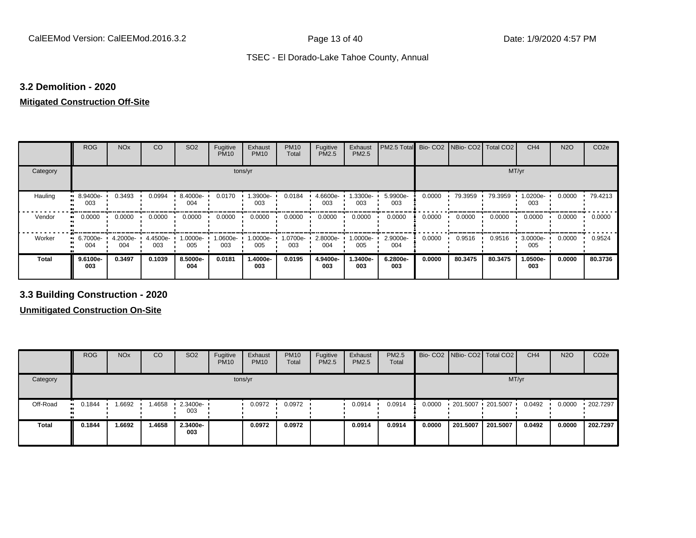#### **3.2 Demolition - 2020**

# **Mitigated Construction Off-Site**

|              | <b>ROG</b>          | <b>NO<sub>x</sub></b> | CO              | SO <sub>2</sub> | Fugitive<br><b>PM10</b> | Exhaust<br><b>PM10</b> | <b>PM10</b><br>Total | Fugitive<br><b>PM2.5</b> | Exhaust<br>PM2.5  | PM2.5 Total     |        | Bio- CO2   NBio- CO2   Total CO2 |         | CH <sub>4</sub> | <b>N2O</b> | CO <sub>2e</sub> |
|--------------|---------------------|-----------------------|-----------------|-----------------|-------------------------|------------------------|----------------------|--------------------------|-------------------|-----------------|--------|----------------------------------|---------|-----------------|------------|------------------|
| Category     |                     |                       |                 |                 | tons/yr                 |                        |                      |                          |                   |                 |        |                                  | MT/yr   |                 |            |                  |
| Hauling      | 8.9400e-<br><br>003 | 0.3493                | 0.0994          | 8.4000e-<br>004 | 0.0170                  | .3900e-<br>003         | 0.0184               | 4.6600e-<br>003          | .3300e-<br>003    | 5.9900e-<br>003 | 0.0000 | 79.3959                          | 79.3959 | 1.0200e-<br>003 | 0.0000     | 79.4213          |
| Vendor       | 0.0000<br>$\bullet$ | 0.0000                | 0.0000          | 0.0000          | 0.0000                  | 0.0000                 | 0.0000               | 0.0000                   | 0.0000            | 0.0000          | 0.0000 | 0.0000                           | 0.0000  | 0.0000          | 0.0000     | 0.0000           |
| Worker       | 6.7000e-<br>004     | 4.2000e-<br>004       | 4.4500e-<br>003 | -0000e-<br>005  | 1.0600e-<br>003         | 1.0000e-<br>005        | 1.0700e-<br>003      | 2.8000e-<br>004          | --0000e- I<br>005 | 2.9000e-<br>004 | 0.0000 | 0.9516                           | 0.9516  | 3.0000e-<br>005 | 0.0000     | 0.9524           |
| <b>Total</b> | 9.6100e-<br>003     | 0.3497                | 0.1039          | 8.5000e-<br>004 | 0.0181                  | 1.4000e-<br>003        | 0.0195               | 4.9400e-<br>003          | -.3400e<br>003    | 6.2800e-<br>003 | 0.0000 | 80.3475                          | 80.3475 | 1.0500e-<br>003 | 0.0000     | 80.3736          |

**3.3 Building Construction - 2020**

|              | <b>ROG</b>            | <b>NO<sub>x</sub></b> | CO     | SO <sub>2</sub>         | Fugitive<br><b>PM10</b> | Exhaust<br><b>PM10</b> | <b>PM10</b><br>Total | Fugitive<br><b>PM2.5</b> | Exhaust<br>PM2.5 | <b>PM2.5</b><br>Total |        |          | Bio- CO2   NBio- CO2   Total CO2 | CH <sub>4</sub> | <b>N2O</b> | CO <sub>2e</sub> |
|--------------|-----------------------|-----------------------|--------|-------------------------|-------------------------|------------------------|----------------------|--------------------------|------------------|-----------------------|--------|----------|----------------------------------|-----------------|------------|------------------|
| Category     |                       |                       |        |                         |                         | tons/yr                |                      |                          |                  |                       |        |          |                                  | MT/yr           |            |                  |
| Off-Road     | $\blacksquare$ 0.1844 | 1.6692                | 1.4658 | $\cdot$ 2.3400e-<br>003 |                         | 0.0972                 | 0.0972               |                          | 0.0914           | 0.0914                | 0.0000 |          | 201.5007 201.5007                | 0.0492          | 0.0000     | 202.7297         |
| <b>Total</b> | 0.1844                | 1.6692                | 1.4658 | 2.3400e-<br>003         |                         | 0.0972                 | 0.0972               |                          | 0.0914           | 0.0914                | 0.0000 | 201.5007 | 201.5007                         | 0.0492          | 0.0000     | 202.7297         |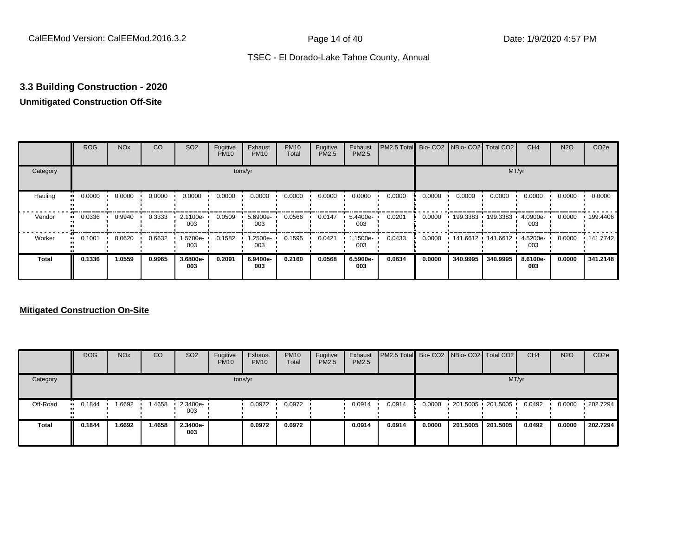# **3.3 Building Construction - 2020**

# **Unmitigated Construction Off-Site**

|                        | <b>ROG</b> | <b>NO<sub>x</sub></b> | CO     | SO <sub>2</sub>   | Fugitive<br><b>PM10</b> | Exhaust<br><b>PM10</b> | <b>PM10</b><br>Total | Fugitive<br><b>PM2.5</b> | Exhaust<br>PM2.5 | PM2.5 Total Bio- CO2 NBio- CO2 Total CO2 |        |                     |                     | CH <sub>4</sub>   | <b>N2O</b> | CO <sub>2e</sub> |
|------------------------|------------|-----------------------|--------|-------------------|-------------------------|------------------------|----------------------|--------------------------|------------------|------------------------------------------|--------|---------------------|---------------------|-------------------|------------|------------------|
| Category               |            |                       |        |                   |                         | tons/yr                |                      |                          |                  |                                          |        |                     | MT/yr               |                   |            |                  |
| Hauling<br>œ           | 0.0000     | 0.0000                | 0.0000 | 0.0000            | 0.0000                  | 0.0000                 | 0.0000               | 0.0000                   | 0.0000           | 0.0000                                   | 0.0000 | 0.0000              | 0.0000              | 0.0000            | 0.0000     | 0.0000           |
| Vendor<br>œ            | 0.0336     | 0.9940                | 0.3333 | $2.1100e-$<br>003 | 0.0509                  | 5.6900e-<br>003        | 0.0566               | 0.0147                   | 5.4400e-<br>003  | 0.0201                                   | 0.0000 |                     | 199.3383 199.3383 ' | 4.0900e-<br>003   | 0.0000     | .199.4406        |
| Worker<br>$\mathbf{u}$ | 0.1001     | 0.0620                | 0.6632 | 1.5700e-<br>003   | 0.1582                  | 1.2500e-<br>003        | 0.1595               | 0.0421                   | 1.1500e-<br>003  | 0.0433                                   | 0.0000 | $141.6612$ 141.6612 |                     | $4.5200e-$<br>003 | 0.0000     | $\cdot$ 141.7742 |
| <b>Total</b>           | 0.1336     | 1.0559                | 0.9965 | 3.6800e-<br>003   | 0.2091                  | 6.9400e-<br>003        | 0.2160               | 0.0568                   | 6.5900e-<br>003  | 0.0634                                   | 0.0000 | 340.9995            | 340.9995            | 8.6100e-<br>003   | 0.0000     | 341.2148         |

|              | <b>ROG</b>            | <b>NO<sub>x</sub></b> | CO     | SO <sub>2</sub>                 | Fugitive<br><b>PM10</b> | Exhaust<br><b>PM10</b> | <b>PM10</b><br><b>Total</b> | Fugitive<br>PM2.5 | Exhaust<br><b>PM2.5</b> | <b>PM2.5 Total</b> Bio- CO2 NBio- CO2 Total CO2 |        |                        |          | CH <sub>4</sub> | <b>N2O</b> | CO <sub>2e</sub> |
|--------------|-----------------------|-----------------------|--------|---------------------------------|-------------------------|------------------------|-----------------------------|-------------------|-------------------------|-------------------------------------------------|--------|------------------------|----------|-----------------|------------|------------------|
| Category     |                       |                       |        |                                 |                         | tons/yr                |                             |                   |                         |                                                 |        |                        |          | MT/yr           |            |                  |
| Off-Road     | $\blacksquare$ 0.1844 | 1.6692                | 1.4658 | $\cdot$ 2.3400e- $\cdot$<br>003 |                         | 0.0972                 | 0.0972                      |                   | 0.0914                  | 0.0914                                          | 0.0000 | $-201.5005 - 201.5005$ |          | 0.0492          | 0.0000     | .202.7294        |
| <b>Total</b> | 0.1844                | 1.6692                | 1.4658 | 2.3400e-<br>003                 |                         | 0.0972                 | 0.0972                      |                   | 0.0914                  | 0.0914                                          | 0.0000 | 201.5005               | 201.5005 | 0.0492          | 0.0000     | 202.7294         |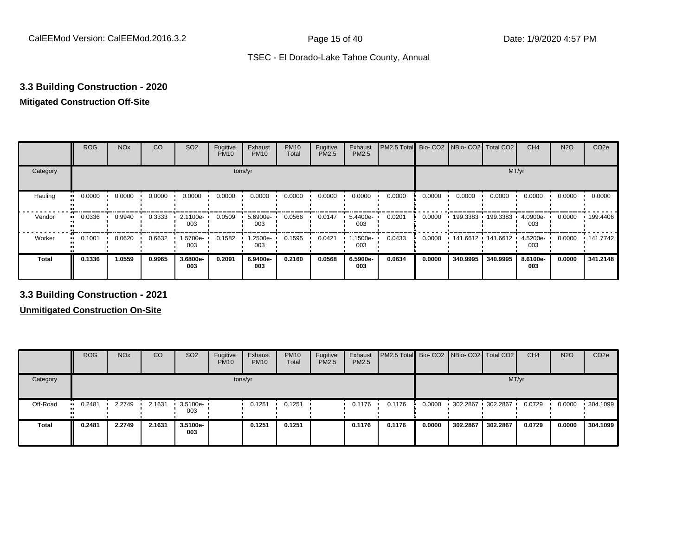# **3.3 Building Construction - 2020**

# **Mitigated Construction Off-Site**

|                      | <b>ROG</b>       | <b>NO<sub>x</sub></b> | CO     | SO <sub>2</sub> | Fugitive<br><b>PM10</b> | Exhaust<br><b>PM10</b> | <b>PM10</b><br>Total | Fugitive<br>PM2.5 | Exhaust<br>PM2.5 | PM2.5 Total |        | Bio-CO2 NBio-CO2 Total CO2 |          | CH <sub>4</sub> | <b>N2O</b> | CO <sub>2e</sub> |
|----------------------|------------------|-----------------------|--------|-----------------|-------------------------|------------------------|----------------------|-------------------|------------------|-------------|--------|----------------------------|----------|-----------------|------------|------------------|
| Category             | MT/yr<br>tons/yr |                       |        |                 |                         |                        |                      |                   |                  |             |        |                            |          |                 |            |                  |
| Hauling<br>$\bullet$ | 0.0000           | 0.0000                | 0.0000 | 0.0000          | 0.0000                  | 0.0000                 | 0.0000               | 0.0000            | 0.0000           | 0.0000      | 0.0000 | 0.0000                     | 0.0000   | 0.0000          | 0.0000     | 0.0000           |
| Vendor               | 0.0336           | 0.9940                | 0.3333 | 2.1100e-<br>003 | 0.0509                  | 5.6900e-<br>003        | 0.0566               | 0.0147            | 5.4400e-<br>003  | 0.0201      | 0.0000 | 199.3383                   | 199.3383 | 4.0900e-<br>003 | 0.0000     | .199.4406        |
| Worker<br>$\bullet$  | 0.1001           | 0.0620                | 0.6632 | 1.5700e-<br>003 | 0.1582                  | 1.2500e-<br>003        | 0.1595               | 0.0421            | -1500e.<br>003   | 0.0433      | 0.0000 | 141.6612                   | 141.6612 | 4.5200e-<br>003 | 0.0000     | $+ 141.7742$     |
| <b>Total</b>         | 0.1336           | 1.0559                | 0.9965 | 3.6800e-<br>003 | 0.2091                  | 6.9400e-<br>003        | 0.2160               | 0.0568            | 6.5900e-<br>003  | 0.0634      | 0.0000 | 340.9995                   | 340.9995 | 8.6100e-<br>003 | 0.0000     | 341.2148         |

**3.3 Building Construction - 2021**

|              | <b>ROG</b>   | <b>NO<sub>x</sub></b> | CO     | SO <sub>2</sub>                 | Fugitive<br><b>PM10</b> | Exhaust<br><b>PM10</b> | <b>PM10</b><br>Total | Fugitive<br><b>PM2.5</b> | Exhaust<br><b>PM2.5</b> | <b>PM2.5 Total</b> Bio- CO2 NBio- CO2 Total CO2 |        |          |                   | CH <sub>4</sub> | <b>N2O</b> | CO <sub>2e</sub> |
|--------------|--------------|-----------------------|--------|---------------------------------|-------------------------|------------------------|----------------------|--------------------------|-------------------------|-------------------------------------------------|--------|----------|-------------------|-----------------|------------|------------------|
| Category     |              |                       |        |                                 |                         | tons/yr                |                      |                          |                         |                                                 |        |          |                   | MT/yr           |            |                  |
| Off-Road     | 0.2481<br>ш. | 2.2749                | 2.1631 | $\cdot$ 3.5100e- $\cdot$<br>003 |                         | 0.1251                 | 0.1251               |                          | 0.1176                  | 0.1176                                          | 0.0000 |          | 302.2867 302.2867 | 0.0729          | 0.0000     | $\cdot$ 304.1099 |
| <b>Total</b> | 0.2481       | 2.2749                | 2.1631 | 3.5100e-<br>003                 |                         | 0.1251                 | 0.1251               |                          | 0.1176                  | 0.1176                                          | 0.0000 | 302.2867 | 302.2867          | 0.0729          | 0.0000     | 304.1099         |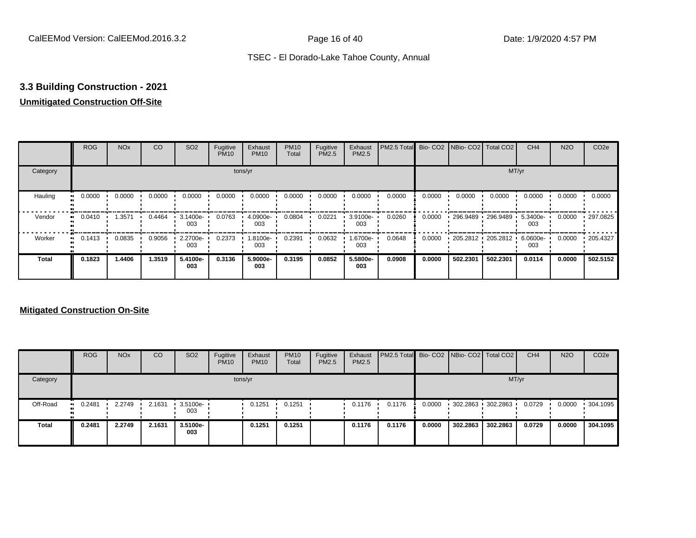# **3.3 Building Construction - 2021**

### **Unmitigated Construction Off-Site**

|              | <b>ROG</b>          | <b>NO<sub>x</sub></b> | CO     | SO <sub>2</sub> | Fugitive<br><b>PM10</b> | Exhaust<br><b>PM10</b> | <b>PM10</b><br>Total | Fugitive<br>PM2.5 | Exhaust<br>PM2.5 | PM2.5 Total Bio- CO2 NBio- CO2 Total CO2 |        |          |                   | CH <sub>4</sub>    | <b>N2O</b> | CO <sub>2e</sub> |
|--------------|---------------------|-----------------------|--------|-----------------|-------------------------|------------------------|----------------------|-------------------|------------------|------------------------------------------|--------|----------|-------------------|--------------------|------------|------------------|
| Category     |                     |                       |        |                 |                         | tons/yr                |                      |                   |                  |                                          |        |          | MT/yr             |                    |            |                  |
| Hauling<br>œ | 0.0000              | 0.0000                | 0.0000 | 0.0000          | 0.0000                  | 0.0000                 | 0.0000               | 0.0000            | 0.0000           | 0.0000                                   | 0.0000 | 0.0000   | 0.0000            | 0.0000             | 0.0000     | 0.0000           |
| Vendor       | 0.0410<br>$\bullet$ | 1.3571                | 0.4464 | 3.1400e-<br>003 | 0.0763                  | 4.0900e-<br>003        | 0.0804               | 0.0221            | 3.9100e-<br>003  | 0.0260                                   | 0.0000 |          | 296.9489 296.9489 | $5.3400e -$<br>003 | 0.0000     | .297.0825        |
| Worker       | 0.1413<br>$\bullet$ | 0.0835                | 0.9056 | 2.2700e-<br>003 | 0.2373                  | 1.8100e-<br>003        | 0.2391               | 0.0632            | -9006-1.6<br>003 | 0.0648                                   | 0.0000 |          | 205.2812 205.2812 | 6.0600e-<br>003    | 0.0000     | .205.4327        |
| Total        | 0.1823              | 1.4406                | 1.3519 | 5.4100e-<br>003 | 0.3136                  | 5.9000e-<br>003        | 0.3195               | 0.0852            | 5.5800e-<br>003  | 0.0908                                   | 0.0000 | 502.2301 | 502.2301          | 0.0114             | 0.0000     | 502.5152         |

|              | <b>ROG</b>            | <b>NO<sub>x</sub></b> | CO     | SO <sub>2</sub>      | Fugitive<br><b>PM10</b> | Exhaust<br><b>PM10</b> | <b>PM10</b><br>Total | Fugitive<br><b>PM2.5</b> | Exhaust<br><b>PM2.5</b> | PM2.5 Total Bio- CO2 NBio- CO2 Total CO2 |        |          |                   | CH <sub>4</sub> | <b>N2O</b> | CO <sub>2</sub> e |
|--------------|-----------------------|-----------------------|--------|----------------------|-------------------------|------------------------|----------------------|--------------------------|-------------------------|------------------------------------------|--------|----------|-------------------|-----------------|------------|-------------------|
| Category     |                       |                       |        |                      |                         | tons/yr                |                      |                          |                         |                                          |        |          |                   | MT/yr           |            |                   |
| Off-Road     | $\blacksquare$ 0.2481 | 2.2749                | 2.1631 | $9.5100e - 1$<br>003 |                         | 0.1251                 | 0.1251               |                          | 0.1176                  | 0.1176                                   | 0.0000 |          | 302.2863 302.2863 | 0.0729          | 0.0000     | .304.1095         |
| <b>Total</b> | 0.2481                | 2.2749                | 2.1631 | 3.5100e-<br>003      |                         | 0.1251                 | 0.1251               |                          | 0.1176                  | 0.1176                                   | 0.0000 | 302.2863 | 302.2863          | 0.0729          | 0.0000     | 304.1095          |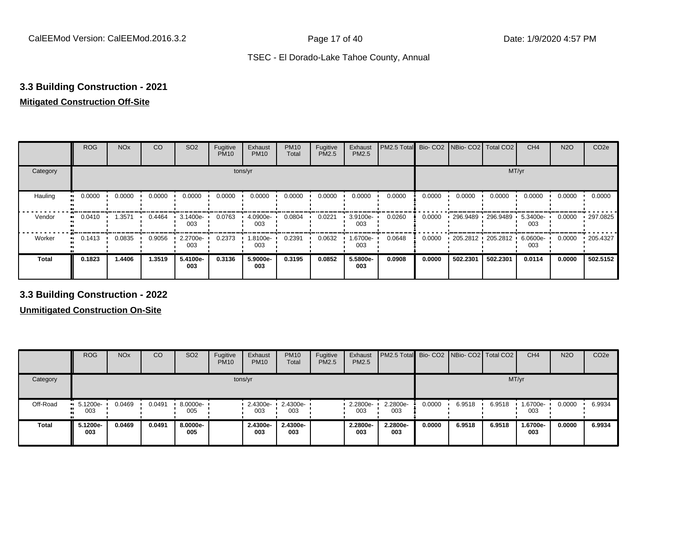# **3.3 Building Construction - 2021**

### **Mitigated Construction Off-Site**

|                      | <b>ROG</b>                 | <b>NO<sub>x</sub></b> | CO     | SO <sub>2</sub> | Fugitive<br><b>PM10</b> | Exhaust<br><b>PM10</b> | <b>PM10</b><br>Total | Fugitive<br>PM2.5 | Exhaust<br>PM2.5 | PM2.5 Total |        | Bio- CO2   NBio- CO2   Total CO2 |          | CH <sub>4</sub> | <b>N2O</b> | CO <sub>2e</sub> |
|----------------------|----------------------------|-----------------------|--------|-----------------|-------------------------|------------------------|----------------------|-------------------|------------------|-------------|--------|----------------------------------|----------|-----------------|------------|------------------|
| Category             |                            |                       |        |                 |                         | tons/yr                |                      |                   |                  |             |        |                                  | MT/yr    |                 |            |                  |
| Hauling<br>$\bullet$ | 0.0000                     | 0.0000                | 0.0000 | 0.0000          | 0.0000                  | 0.0000                 | 0.0000               | 0.0000            | 0.0000           | 0.0000      | 0.0000 | 0.0000                           | 0.0000   | 0.0000          | 0.0000     | 0.0000           |
| Vendor               | 0.0410<br>$\bullet\bullet$ | 1.3571                | 0.4464 | 3.1400e-<br>003 | 0.0763                  | 4.0900e-<br>003        | 0.0804               | 0.0221            | 3.9100e-<br>003  | 0.0260      | 0.0000 | 296.9489 296.9489                |          | 5.3400e-<br>003 | 0.0000     | 297.0825         |
| Worker<br>$\bullet$  | 0.1413                     | 0.0835                | 0.9056 | 2.2700e-<br>003 | 0.2373                  | 1.8100e-<br>003        | 0.2391               | 0.0632            | .6700e-<br>003   | 0.0648      | 0.0000 | 205.2812 205.2812                |          | 6.0600e-<br>003 | 0.0000     | 205.4327         |
| <b>Total</b>         | 0.1823                     | 1.4406                | 1.3519 | 5.4100e-<br>003 | 0.3136                  | 5.9000e-<br>003        | 0.3195               | 0.0852            | 5.5800e-<br>003  | 0.0908      | 0.0000 | 502.2301                         | 502.2301 | 0.0114          | 0.0000     | 502.5152         |

**3.3 Building Construction - 2022**

|              | <b>ROG</b>                   | <b>NO<sub>x</sub></b> | CO     | SO <sub>2</sub>    | Fugitive<br><b>PM10</b> | Exhaust<br><b>PM10</b>          | <b>PM10</b><br>Total | Fugitive<br><b>PM2.5</b> | Exhaust<br>PM2.5 | <b>PM2.5 Total</b> Bio- CO2 NBio- CO2 Total CO2 |        |        |        | CH <sub>4</sub> | <b>N2O</b> | CO <sub>2e</sub> |
|--------------|------------------------------|-----------------------|--------|--------------------|-------------------------|---------------------------------|----------------------|--------------------------|------------------|-------------------------------------------------|--------|--------|--------|-----------------|------------|------------------|
| Category     |                              |                       |        |                    |                         | tons/yr                         |                      |                          |                  |                                                 |        |        | MT/yr  |                 |            |                  |
| Off-Road     | $-5.1200e-$<br><br>003<br>m. | 0.0469                | 0.0491 | $.80000e -$<br>005 |                         | $-2.4300e - 2.4300e - 1$<br>003 | 003                  |                          | 2.2800e-<br>003  | 2.2800e-<br>003                                 | 0.0000 | 6.9518 | 6.9518 | 1.6700e-<br>003 | 0.0000     | 6.9934           |
| <b>Total</b> | 5.1200e-<br>003              | 0.0469                | 0.0491 | 8.0000e-<br>005    |                         | 2.4300e-<br>003                 | 2.4300e-<br>003      |                          | 2.2800e-<br>003  | 2.2800e-<br>003                                 | 0.0000 | 6.9518 | 6.9518 | 1.6700e-<br>003 | 0.0000     | 6.9934           |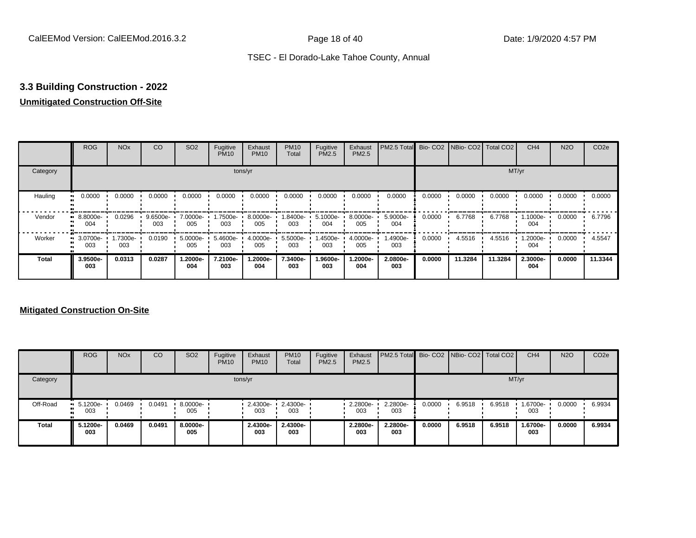# **3.3 Building Construction - 2022**

# **Unmitigated Construction Off-Site**

|              | <b>ROG</b>                   | <b>NO<sub>x</sub></b> | CO              | SO <sub>2</sub> | Fugitive<br><b>PM10</b> | Exhaust<br><b>PM10</b> | <b>PM10</b><br>Total | Fugitive<br>PM2.5 | Exhaust<br>PM2.5 | PM2.5 Total Bio- CO2 NBio- CO2 Total CO2 |        |         |         | CH <sub>4</sub> | <b>N2O</b> | CO <sub>2e</sub> |
|--------------|------------------------------|-----------------------|-----------------|-----------------|-------------------------|------------------------|----------------------|-------------------|------------------|------------------------------------------|--------|---------|---------|-----------------|------------|------------------|
| Category     |                              |                       |                 |                 |                         | tons/yr                |                      |                   |                  |                                          |        |         | MT/yr   |                 |            |                  |
| Hauling      | 0.0000<br>œ                  | 0.0000                | 0.0000          | 0.0000          | 0.0000                  | 0.0000                 | 0.0000               | 0.0000            | 0.0000           | 0.0000                                   | 0.0000 | 0.0000  | 0.0000  | 0.0000          | 0.0000     | 0.0000           |
| Vendor       | 8.8000e-<br>004              | 0.0296                | 9.6500e-<br>003 | 7.0000e-<br>005 | 1.7500e-<br>003         | 8.0000e-<br>005        | 1.8400e-<br>003      | 5.1000e-<br>004   | 8.0000e-<br>005  | 5.9000e-<br>004                          | 0.0000 | 6.7768  | 6.7768  | 1.1000e-<br>004 | 0.0000     | 6.7796           |
| Worker       | 3.0700e-<br>$\bullet$<br>003 | 1.7300e-<br>003       | 0.0190          | 5.0000e-<br>005 | 5.4600e-<br>003         | 4.0000e-<br>005        | 5.5000e-<br>003      | .4500e-<br>003    | 4.0000e-<br>005  | 1.4900e-<br>003                          | 0.0000 | 4.5516  | 4.5516  | 1.2000e-<br>004 | 0.0000     | 4.5547           |
| <b>Total</b> | 3.9500e-<br>003              | 0.0313                | 0.0287          | 1.2000e-<br>004 | 7.2100e-<br>003         | 1.2000e-<br>004        | 7.3400e-<br>003      | 1.9600e-<br>003   | -2000e.<br>004   | 2.0800e-<br>003                          | 0.0000 | 11.3284 | 11.3284 | 2.3000e-<br>004 | 0.0000     | 11.3344          |

|              | <b>ROG</b>                           | <b>NO<sub>x</sub></b> | CO     | <b>SO2</b>      | Fugitive<br><b>PM10</b> | Exhaust<br><b>PM10</b> | <b>PM10</b><br><b>Total</b> | Fugitive<br><b>PM2.5</b> | Exhaust<br><b>PM2.5</b> | <b>PM2.5 Total Bio-CO2 NBio-CO2 Total CO2</b> |        |        |        | CH <sub>4</sub> | <b>N2O</b> | CO <sub>2e</sub> |
|--------------|--------------------------------------|-----------------------|--------|-----------------|-------------------------|------------------------|-----------------------------|--------------------------|-------------------------|-----------------------------------------------|--------|--------|--------|-----------------|------------|------------------|
| Category     |                                      |                       |        |                 |                         | tons/yr                |                             |                          |                         |                                               |        |        |        | MT/yr           |            |                  |
| Off-Road     | $-5.1200e-$<br><br>003<br><b>ALC</b> | 0.0469                | 0.0491 | 8.0000e-<br>005 |                         | 003                    | 2.4300e- 2.4300e-<br>003    |                          | $\cdot$ 2.2800e-<br>003 | 2.2800e-<br>003                               | 0.0000 | 6.9518 | 6.9518 | 1.6700e-<br>003 | 0.0000     | 6.9934           |
| <b>Total</b> | 5.1200e-<br>003                      | 0.0469                | 0.0491 | 8.0000e-<br>005 |                         | 2.4300e-<br>003        | 2.4300e-<br>003             |                          | 2.2800e-<br>003         | 2.2800e-<br>003                               | 0.0000 | 6.9518 | 6.9518 | 1.6700e-<br>003 | 0.0000     | 6.9934           |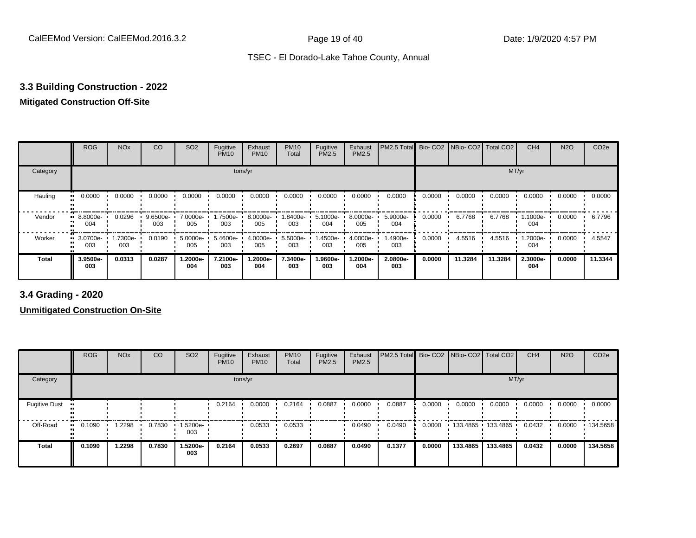# **3.3 Building Construction - 2022**

# **Mitigated Construction Off-Site**

|                     | <b>ROG</b>      | <b>NO<sub>x</sub></b> | CO              | SO <sub>2</sub> | Fugitive<br><b>PM10</b> | Exhaust<br><b>PM10</b> | <b>PM10</b><br>Total | Fugitive<br>PM2.5 | Exhaust<br>PM2.5 | PM2.5 Total     |        | Bio- CO2 NBio- CO2 Total CO2 |         | CH <sub>4</sub> | <b>N2O</b> | CO <sub>2e</sub> |
|---------------------|-----------------|-----------------------|-----------------|-----------------|-------------------------|------------------------|----------------------|-------------------|------------------|-----------------|--------|------------------------------|---------|-----------------|------------|------------------|
| Category            |                 |                       |                 |                 | tons/yr                 |                        |                      |                   |                  |                 |        |                              | MT/yr   |                 |            |                  |
| Hauling<br>81       | 0.0000          | 0.0000                | 0.0000          | 0.0000          | 0.0000                  | 0.0000                 | 0.0000               | 0.0000            | 0.0000           | 0.0000          | 0.0000 | 0.0000                       | 0.0000  | 0.0000          | 0.0000     | 0.0000           |
| Vendor              | 8.8000e-<br>004 | 0.0296                | 9.6500e-<br>003 | 7.0000e-<br>005 | 1.7500e-<br>003         | 8.0000e-<br>005        | 1.8400e-<br>003      | 5.1000e-<br>004   | 8.0000e-<br>005  | 5.9000e-<br>004 | 0.0000 | 6.7768                       | 6.7768  | 1.1000e-<br>004 | 0.0000     | 6.7796           |
| Worker<br>$\bullet$ | 3.0700e-<br>003 | 1.7300e-<br>003       | 0.0190          | 5.0000e-<br>005 | 5.4600e-<br>003         | 4.0000e-<br>005        | 5.5000e-<br>003      | 1.4500e-<br>003   | 4.0000e-<br>005  | 1.4900e-<br>003 | 0.0000 | 4.5516                       | 4.5516  | 1.2000e-<br>004 | 0.0000     | 4.5547           |
| <b>Total</b>        | 3.9500e-<br>003 | 0.0313                | 0.0287          | 1.2000e-<br>004 | 7.2100e-<br>003         | 1.2000e-<br>004        | 7.3400e-<br>003      | 1.9600e-<br>003   | -2000e.<br>004   | 2.0800e-<br>003 | 0.0000 | 11.3284                      | 11.3284 | 2.3000e-<br>004 | 0.0000     | 11.3344          |

**3.4 Grading - 2020**

|                      | <b>ROG</b> | <b>NO<sub>x</sub></b> | CO     | SO <sub>2</sub> | Fugitive<br><b>PM10</b> | Exhaust<br><b>PM10</b> | <b>PM10</b><br>Total | Fugitive<br>PM2.5 | Exhaust<br><b>PM2.5</b> | PM2.5 Total Bio- CO2 NBio- CO2 Total CO2 |        |          |                     | CH <sub>4</sub> | <b>N2O</b> | CO <sub>2e</sub> |
|----------------------|------------|-----------------------|--------|-----------------|-------------------------|------------------------|----------------------|-------------------|-------------------------|------------------------------------------|--------|----------|---------------------|-----------------|------------|------------------|
| Category             |            |                       |        |                 |                         | tons/yr                |                      |                   |                         |                                          |        |          | MT/yr               |                 |            |                  |
| <b>Fugitive Dust</b> |            |                       |        |                 | 0.2164                  | 0.0000                 | 0.2164               | 0.0887            | 0.0000                  | 0.0887                                   | 0.0000 | 0.0000   | 0.0000              | 0.0000          | 0.0000     | 0.0000           |
| Off-Road             | 0.1090     | 1.2298                | 0.7830 | 1.5200e-<br>003 |                         | 0.0533                 | 0.0533               |                   | 0.0490                  | 0.0490                                   | 0.0000 |          | 133.4865 133.4865 1 | 0.0432          | 0.0000     | $+134.5658$      |
| <b>Total</b>         | 0.1090     | 1.2298                | 0.7830 | 1.5200e-<br>003 | 0.2164                  | 0.0533                 | 0.2697               | 0.0887            | 0.0490                  | 0.1377                                   | 0.0000 | 133.4865 | 133.4865            | 0.0432          | 0.0000     | 134.5658         |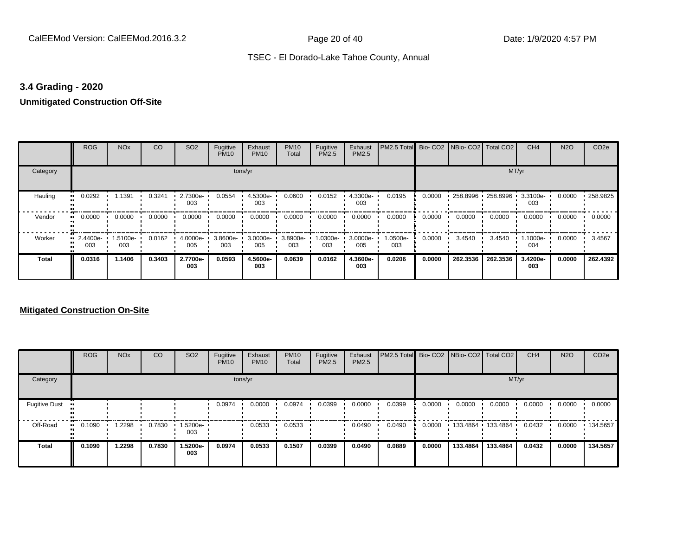#### **3.4 Grading - 2020**

# **Unmitigated Construction Off-Site**

|              | <b>ROG</b>      | <b>NO<sub>x</sub></b> | CO     | SO <sub>2</sub> | Fugitive<br><b>PM10</b> | Exhaust<br><b>PM10</b> | <b>PM10</b><br>Total | Fugitive<br>PM2.5 | Exhaust<br>PM2.5 | PM2.5 Total     | Bio-CO <sub>2</sub> | NBio-CO2 Total CO2 |          | CH <sub>4</sub> | <b>N2O</b> | CO <sub>2e</sub> |
|--------------|-----------------|-----------------------|--------|-----------------|-------------------------|------------------------|----------------------|-------------------|------------------|-----------------|---------------------|--------------------|----------|-----------------|------------|------------------|
| Category     |                 |                       |        |                 |                         | tons/yr                |                      |                   |                  |                 |                     |                    | MT/yr    |                 |            |                  |
| Hauling      | 0.0292          | 1.1391                | 0.3241 | 2.7300e-<br>003 | 0.0554                  | 4.5300e-<br>003        | 0.0600               | 0.0152            | 4.3300e-<br>003  | 0.0195          | 0.0000              | 258.8996           | 258.8996 | 3.3100e-<br>003 | 0.0000     | $-258.9825$      |
| Vendor       | 0.0000          | 0.0000                | 0.0000 | 0.0000          | 0.0000                  | 0.0000                 | 0.0000               | 0.0000            | 0.0000           | 0.0000          | 0.0000              | 0.0000             | 0.0000   | 0.0000          | 0.0000     | 0.0000           |
| Worker       | 2.4400e-<br>003 | 1.5100e-<br>003       | 0.0162 | 4.0000e-<br>005 | 3.8600e-<br>003         | 3.0000e-<br>005        | 3.8900e-<br>003      | 1.0300e-<br>003   | 3.0000e-<br>005  | 1.0500e-<br>003 | 0.0000              | 3.4540             | 3.4540   | 1.1000e-<br>004 | 0.0000     | 3.4567           |
| <b>Total</b> | 0.0316          | 1.1406                | 0.3403 | 2.7700e-<br>003 | 0.0593                  | 4.5600e-<br>003        | 0.0639               | 0.0162            | 4.3600e-<br>003  | 0.0206          | 0.0000              | 262.3536           | 262.3536 | 3.4200e-<br>003 | 0.0000     | 262.4392         |

|                      | <b>ROG</b>   | <b>NO<sub>x</sub></b> | CO     | SO <sub>2</sub> | Fugitive<br><b>PM10</b> | Exhaust<br><b>PM10</b> | <b>PM10</b><br>Total | Fugitive<br><b>PM2.5</b> | Exhaust<br><b>PM2.5</b> | PM2.5 Total Bio- CO2 NBio- CO2 Total CO2 |        |                   |          | CH <sub>4</sub> | <b>N2O</b> | CO <sub>2e</sub> |
|----------------------|--------------|-----------------------|--------|-----------------|-------------------------|------------------------|----------------------|--------------------------|-------------------------|------------------------------------------|--------|-------------------|----------|-----------------|------------|------------------|
| Category             |              |                       |        |                 |                         | tons/yr                |                      |                          |                         |                                          |        |                   | MT/yr    |                 |            |                  |
| <b>Fugitive Dust</b> |              |                       |        |                 | 0.0974                  | 0.0000                 | 0.0974               | 0.0399                   | 0.0000                  | 0.0399                                   | 0.0000 | 0.0000            | 0.0000   | 0.0000          | 0.0000     | 0.0000           |
| Off-Road             | 0.1090<br>ш. | 1.2298                | 0.7830 | -5200e-<br>003  |                         | 0.0533                 | 0.0533               |                          | 0.0490                  | 0.0490                                   | 0.0000 | 133.4864 133.4864 |          | 0.0432          | 0.0000     | $+134.5657$      |
| <b>Total</b>         | 0.1090       | 1.2298                | 0.7830 | 1.5200e-<br>003 | 0.0974                  | 0.0533                 | 0.1507               | 0.0399                   | 0.0490                  | 0.0889                                   | 0.0000 | 133.4864          | 133.4864 | 0.0432          | 0.0000     | 134.5657         |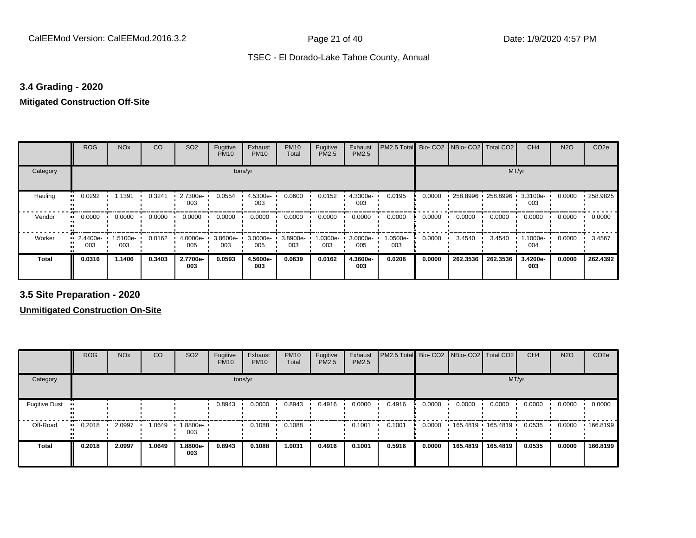#### **3.4 Grading - 2020**

#### **Mitigated Construction Off-Site**

|                      | <b>ROG</b>      | <b>NO<sub>x</sub></b> | CO     | SO <sub>2</sub> | Fugitive<br><b>PM10</b> | Exhaust<br><b>PM10</b> | <b>PM10</b><br>Total | Fugitive<br>PM2.5 | Exhaust<br>PM2.5 | PM2.5 Total Bio- CO2 NBio- CO2 Total CO2 |        |                   |          | CH <sub>4</sub> | <b>N2O</b> | CO <sub>2e</sub> |
|----------------------|-----------------|-----------------------|--------|-----------------|-------------------------|------------------------|----------------------|-------------------|------------------|------------------------------------------|--------|-------------------|----------|-----------------|------------|------------------|
| Category             |                 |                       |        |                 |                         | tons/yr                |                      |                   |                  |                                          |        |                   | MT/yr    |                 |            |                  |
| Hauling<br>$\bullet$ | 0.0292          | 1.1391                | 0.3241 | 2.7300e-<br>003 | 0.0554                  | 4.5300e-<br>003        | 0.0600               | 0.0152            | 4.3300e-<br>003  | 0.0195                                   | 0.0000 | 258.8996 258.8996 |          | 3.3100e-<br>003 | 0.0000     | .258.9825        |
| Vendor               | 0.0000          | 0.0000                | 0.0000 | 0.0000          | 0.0000                  | 0.0000                 | 0.0000               | 0.0000            | 0.0000           | 0.0000                                   | 0.0000 | 0.0000            | 0.0000   | 0.0000          | 0.0000     | 0.0000           |
| Worker               | 2.4400e-<br>003 | 1.5100e-<br>003       | 0.0162 | 4.0000e-<br>005 | $3.8600e -$<br>003      | 3.0000e-<br>005        | 3.8900e-<br>003      | 1.0300e-<br>003   | 3.0000e-<br>005  | 1.0500e-<br>003                          | 0.0000 | 3.4540            | 3.4540   | 1.1000e-<br>004 | 0.0000     | 3.4567           |
| <b>Total</b>         | 0.0316          | 1.1406                | 0.3403 | 2.7700e-<br>003 | 0.0593                  | 4.5600e-<br>003        | 0.0639               | 0.0162            | 4.3600e-<br>003  | 0.0206                                   | 0.0000 | 262.3536          | 262.3536 | 3.4200e-<br>003 | 0.0000     | 262.4392         |

**3.5 Site Preparation - 2020**

|                      | <b>ROG</b>                 | <b>NO<sub>x</sub></b> | CO     | SO <sub>2</sub> | Fugitive<br><b>PM10</b> | Exhaust<br><b>PM10</b> | <b>PM10</b><br>Total | Fugitive<br><b>PM2.5</b> | Exhaust<br>PM2.5 | PM2.5 Total Bio- CO2 NBio- CO2   Total CO2 |        |          |                     | CH <sub>4</sub> | <b>N2O</b> | CO <sub>2e</sub> |
|----------------------|----------------------------|-----------------------|--------|-----------------|-------------------------|------------------------|----------------------|--------------------------|------------------|--------------------------------------------|--------|----------|---------------------|-----------------|------------|------------------|
| Category             |                            |                       |        |                 | tons/yr                 |                        |                      |                          |                  |                                            |        |          | MT/yr               |                 |            |                  |
| <b>Fugitive Dust</b> |                            |                       |        |                 | 0.8943                  | 0.0000                 | 0.8943               | 0.4916                   | 0.0000           | 0.4916                                     | 0.0000 | 0.0000   | 0.0000              | 0.0000          | 0.0000     | 0.0000           |
| Off-Road             | 0.2018<br>$\bullet\bullet$ | 2.0997                | 1.0649 | -9006- I<br>003 |                         | 0.1088                 | 0.1088               |                          | 0.1001           | 0.1001                                     | 0.0000 |          | 165.4819 165.4819 ' | 0.0535          | 0.0000     | 166.8199         |
| Total                | 0.2018                     | 2.0997                | 1.0649 | 1.8800e-<br>003 | 0.8943                  | 0.1088                 | 1.0031               | 0.4916                   | 0.1001           | 0.5916                                     | 0.0000 | 165.4819 | 165.4819            | 0.0535          | 0.0000     | 166.8199         |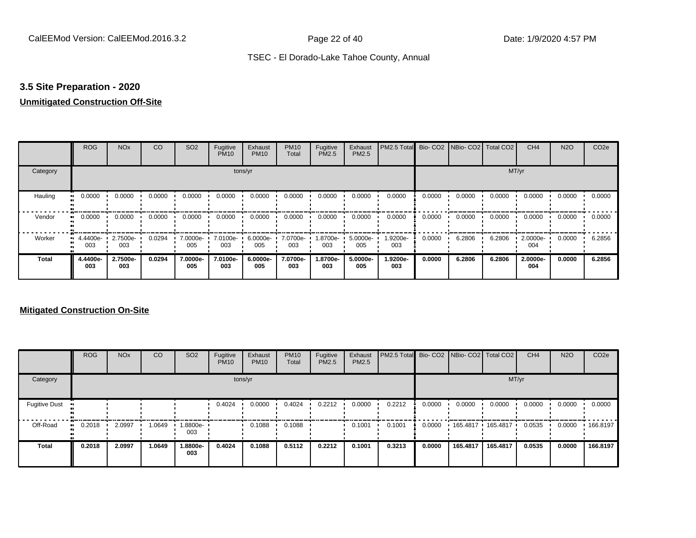#### **3.5 Site Preparation - 2020**

#### **Unmitigated Construction Off-Site**

|               | <b>ROG</b>          | <b>NO<sub>x</sub></b> | CO     | SO <sub>2</sub> | Fugitive<br><b>PM10</b> | Exhaust<br><b>PM10</b> | <b>PM10</b><br>Total | Fugitive<br>PM2.5 | Exhaust<br>PM2.5 | PM2.5 Total Bio- CO2 NBio- CO2 Total CO2 |        |        |        | CH <sub>4</sub> | <b>N2O</b> | CO <sub>2e</sub> |
|---------------|---------------------|-----------------------|--------|-----------------|-------------------------|------------------------|----------------------|-------------------|------------------|------------------------------------------|--------|--------|--------|-----------------|------------|------------------|
| Category      |                     |                       |        |                 | tons/yr                 |                        |                      |                   |                  |                                          |        |        | MT/yr  |                 |            |                  |
| Hauling<br>81 | 0.0000              | 0.0000                | 0.0000 | 0.0000          | 0.0000                  | 0.0000                 | 0.0000               | 0.0000            | 0.0000           | 0.0000                                   | 0.0000 | 0.0000 | 0.0000 | 0.0000          | 0.0000     | 0.0000           |
| Vendor        | 0.0000<br>$\bullet$ | 0.0000                | 0.0000 | 0.0000          | 0.0000                  | 0.0000                 | 0.0000               | 0.0000            | 0.0000           | 0.0000                                   | 0.0000 | 0.0000 | 0.0000 | 0.0000          | 0.0000     | 0.0000           |
| Worker        | $-4.4400e-$<br>003  | 2.7500e-<br>003       | 0.0294 | 7.0000e-<br>005 | 7.0100e-<br>003         | 6.0000e-<br>005        | 7.0700e-<br>003      | 1.8700e-<br>003   | 5.0000e-<br>005  | 1.9200e-<br>003                          | 0.0000 | 6.2806 | 6.2806 | 2.0000e-<br>004 | 0.0000     | 6.2856           |
| <b>Total</b>  | 4.4400e-<br>003     | 2.7500e-<br>003       | 0.0294 | 7.0000e-<br>005 | 7.0100e-<br>003         | 6.0000e-<br>005        | 7.0700e-<br>003      | 1.8700e-<br>003   | 5.0000e-<br>005  | 1.9200e-<br>003                          | 0.0000 | 6.2806 | 6.2806 | 2.0000e-<br>004 | 0.0000     | 6.2856           |

|                      | <b>ROG</b> | <b>NO<sub>x</sub></b> | CO     | SO <sub>2</sub> | Fugitive<br><b>PM10</b> | Exhaust<br><b>PM10</b> | <b>PM10</b><br>Total | Fugitive<br><b>PM2.5</b> | Exhaust<br><b>PM2.5</b> | PM2.5 Total Bio- CO2 NBio- CO2   Total CO2 |        |          |          | CH <sub>4</sub> | <b>N2O</b> | CO <sub>2e</sub> |
|----------------------|------------|-----------------------|--------|-----------------|-------------------------|------------------------|----------------------|--------------------------|-------------------------|--------------------------------------------|--------|----------|----------|-----------------|------------|------------------|
| Category             |            |                       |        |                 |                         | tons/yr                |                      |                          |                         |                                            |        |          | MT/yr    |                 |            |                  |
| <b>Fugitive Dust</b> |            |                       |        |                 | 0.4024                  | 0.0000                 | 0.4024               | 0.2212                   | 0.0000                  | 0.2212                                     | 0.0000 | 0.0000   | 0.0000   | 0.0000          | 0.0000     | 0.0000           |
| Off-Road             | 0.2018     | 2.0997                | 1.0649 | .8800e-<br>003  |                         | 0.1088                 | 0.1088               |                          | 0.1001                  | 0.1001                                     | 0.0000 | 165.4817 | 165.4817 | 0.0535          | 0.0000     | 166.8197         |
| <b>Total</b>         | 0.2018     | 2.0997                | 1.0649 | 1.8800e-<br>003 | 0.4024                  | 0.1088                 | 0.5112               | 0.2212                   | 0.1001                  | 0.3213                                     | 0.0000 | 165.4817 | 165.4817 | 0.0535          | 0.0000     | 166.8197         |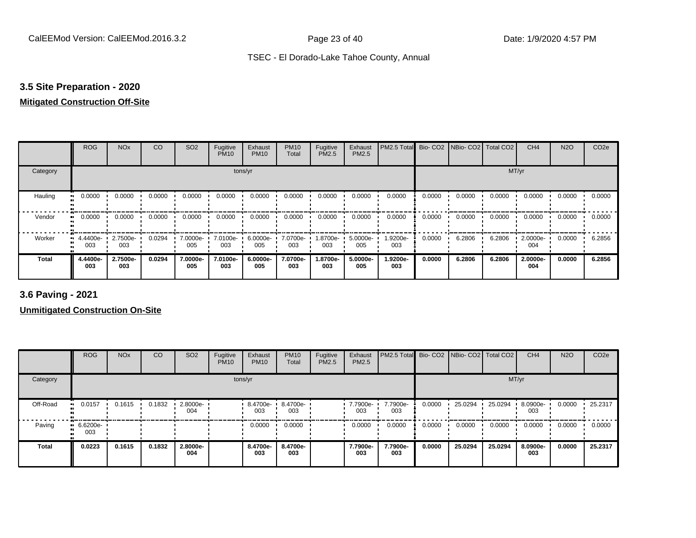#### **3.5 Site Preparation - 2020**

#### **Mitigated Construction Off-Site**

|          | <b>ROG</b>         | <b>NO<sub>x</sub></b> | CO     | SO <sub>2</sub> | Fugitive<br><b>PM10</b> | Exhaust<br><b>PM10</b> | <b>PM10</b><br>Total | Fugitive<br>PM2.5 | Exhaust<br>PM2.5 | PM2.5 Total Bio- CO2 NBio- CO2 Total CO2 |        |        |        | CH <sub>4</sub> | <b>N2O</b> | CO <sub>2e</sub> |
|----------|--------------------|-----------------------|--------|-----------------|-------------------------|------------------------|----------------------|-------------------|------------------|------------------------------------------|--------|--------|--------|-----------------|------------|------------------|
| Category |                    |                       |        |                 | tons/yr                 |                        |                      |                   |                  |                                          |        |        | MT/yr  |                 |            |                  |
| Hauling  | 0.0000             | 0.0000                | 0.0000 | 0.0000          | 0.0000                  | 0.0000                 | 0.0000               | 0.0000            | 0.0000           | 0.0000                                   | 0.0000 | 0.0000 | 0.0000 | 0.0000          | 0.0000     | 0.0000           |
| Vendor   | 0.0000             | 0.0000                | 0.0000 | 0.0000          | 0.0000                  | 0.0000                 | 0.0000               | 0.0000            | 0.0000           | 0.0000                                   | 0.0000 | 0.0000 | 0.0000 | 0.0000          | 0.0000     | 0.0000           |
| Worker   | $-4.4400e-$<br>003 | 2.7500e-<br>003       | 0.0294 | 7.0000e-<br>005 | 7.0100e-<br>003         | 6.0000e-<br>005        | 7.0700e-<br>003      | 1.8700e-<br>003   | 5.0000e-<br>005  | 1.9200e-<br>003                          | 0.0000 | 6.2806 | 6.2806 | 2.0000e-<br>004 | 0.0000     | 6.2856           |
| Total    | 4.4400e-<br>003    | 2.7500e-<br>003       | 0.0294 | 7.0000e-<br>005 | 7.0100e-<br>003         | 6.0000e-<br>005        | 7.0700e-<br>003      | 1.8700e-<br>003   | 5.0000e-<br>005  | 1.9200e-<br>003                          | 0.0000 | 6.2806 | 6.2806 | 2.0000e-<br>004 | 0.0000     | 6.2856           |

**3.6 Paving - 2021**

|              | <b>ROG</b>         | <b>NO<sub>x</sub></b> | CO     | SO <sub>2</sub> | Fugitive<br><b>PM10</b> | Exhaust<br><b>PM10</b> | <b>PM10</b><br>Total | Fugitive<br>PM2.5 | Exhaust<br><b>PM2.5</b> | PM2.5 Total Bio- CO2 NBio- CO2 Total CO2 |        |         |         | CH <sub>4</sub> | <b>N2O</b> | CO <sub>2e</sub> |
|--------------|--------------------|-----------------------|--------|-----------------|-------------------------|------------------------|----------------------|-------------------|-------------------------|------------------------------------------|--------|---------|---------|-----------------|------------|------------------|
| Category     |                    |                       |        |                 |                         | tons/yr                |                      |                   |                         |                                          |        |         | MT/yr   |                 |            |                  |
| Off-Road     | 0.0157             | 0.1615                | 0.1832 | 2.8000e-<br>004 |                         | 8.4700e-<br>003        | 8.4700e-<br>003      |                   | 7.7900e-<br>003         | 7.7900e-<br>003                          | 0.0000 | 25.0294 | 25.0294 | 8.0900e-<br>003 | 0.0000     | 25.2317          |
| Paving       | $-6.6200e-$<br>003 |                       |        |                 |                         | 0.0000                 | 0.0000               |                   | 0.0000                  | 0.0000                                   | 0.0000 | 0.0000  | 0.0000  | 0.0000          | 0.0000     | 0.0000           |
| <b>Total</b> | 0.0223             | 0.1615                | 0.1832 | 2.8000e-<br>004 |                         | 8.4700e-<br>003        | 8.4700e-<br>003      |                   | 7.7900e-<br>003         | 7.7900e-<br>003                          | 0.0000 | 25.0294 | 25.0294 | 8.0900e-<br>003 | 0.0000     | 25.2317          |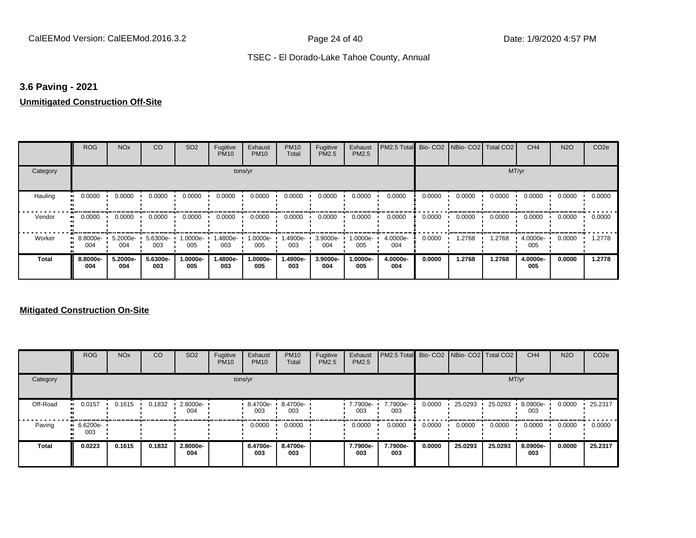#### **3.6 Paving - 2021**

# **Unmitigated Construction Off-Site**

|              | <b>ROG</b>                 | <b>NO<sub>x</sub></b> | CO              | SO <sub>2</sub> | Fugitive<br><b>PM10</b> | Exhaust<br><b>PM10</b> | <b>PM10</b><br>Total | Fugitive<br>PM2.5 | Exhaust<br>PM2.5 | PM2.5 Total     |        | Bio- CO2   NBio- CO2   Total CO2 |        | CH <sub>4</sub> | <b>N2O</b> | CO <sub>2e</sub> |
|--------------|----------------------------|-----------------------|-----------------|-----------------|-------------------------|------------------------|----------------------|-------------------|------------------|-----------------|--------|----------------------------------|--------|-----------------|------------|------------------|
| Category     |                            |                       |                 |                 | tons/yr                 |                        |                      |                   |                  |                 |        |                                  | MT/yr  |                 |            |                  |
| Hauling<br>  | 0.0000                     | 0.0000                | 0.0000          | 0.0000          | 0.0000                  | 0.0000                 | 0.0000               | 0.0000            | 0.0000           | 0.0000          | 0.0000 | 0.0000                           | 0.0000 | 0.0000          | 0.0000     | 0.0000           |
| Vendor       | 0.0000<br>$\bullet\bullet$ | 0.0000                | 0.0000          | 0.0000          | 0.0000                  | 0.0000                 | 0.0000               | 0.0000            | 0.0000           | 0.0000          | 0.0000 | 0.0000                           | 0.0000 | 0.0000          | 0.0000     | 0.0000           |
| Worker       | 8.8000e-<br>. .<br>004     | 5.2000e-<br>004       | 5.6300e-<br>003 | 1.0000e-<br>005 | 1.4800e-<br>003         | 1.0000e-<br>005        | 1.4900e-<br>003      | 3.9000e-<br>004   | $.0000e-$<br>005 | 4.0000e-<br>004 | 0.0000 | 1.2768                           | 1.2768 | 4.0000e-<br>005 | 0.0000     | 1.2778           |
| <b>Total</b> | 8.8000e-<br>004            | 5.2000e-<br>004       | 5.6300e-<br>003 | 1.0000e-<br>005 | 1.4800e-<br>003         | 1.0000e-<br>005        | 1.4900e-<br>003      | 3.9000e-<br>004   | .0000e-<br>005   | 4.0000e-<br>004 | 0.0000 | 1.2768                           | 1.2768 | 4.0000e-<br>005 | 0.0000     | 1.2778           |

|              | <b>ROG</b>         | <b>NO<sub>x</sub></b> | CO     | SO <sub>2</sub> | Fugitive<br><b>PM10</b> | Exhaust<br><b>PM10</b> | <b>PM10</b><br>Total | Fugitive<br><b>PM2.5</b> | Exhaust<br><b>PM2.5</b> | PM2.5 Total Bio- CO2 NBio- CO2 Total CO2 |        |         |         | CH <sub>4</sub> | <b>N2O</b> | CO <sub>2e</sub> |
|--------------|--------------------|-----------------------|--------|-----------------|-------------------------|------------------------|----------------------|--------------------------|-------------------------|------------------------------------------|--------|---------|---------|-----------------|------------|------------------|
| Category     |                    |                       |        |                 |                         | tons/yr                |                      |                          |                         |                                          |        |         |         | MT/yr           |            |                  |
| Off-Road     | 0.0157<br>         | 0.1615                | 0.1832 | 2.8000e-<br>004 |                         | 8.4700e-<br>003        | 8.4700e-<br>003      |                          | 7.7900e-<br>003         | 7.7900e-<br>003                          | 0.0000 | 25.0293 | 25.0293 | 8.0900e-<br>003 | 0.0000     | 25.2317          |
| Paving       | $-6.6200e-$<br>003 |                       |        |                 |                         | 0.0000                 | 0.0000               |                          | 0.0000                  | 0.0000                                   | 0.0000 | 0.0000  | 0.0000  | 0.0000          | 0.0000     | 0.0000           |
| <b>Total</b> | 0.0223             | 0.1615                | 0.1832 | 2.8000e-<br>004 |                         | 8.4700e-<br>003        | 8.4700e-<br>003      |                          | 7.7900e-<br>003         | 7.7900e-<br>003                          | 0.0000 | 25.0293 | 25.0293 | 8.0900e-<br>003 | 0.0000     | 25.2317          |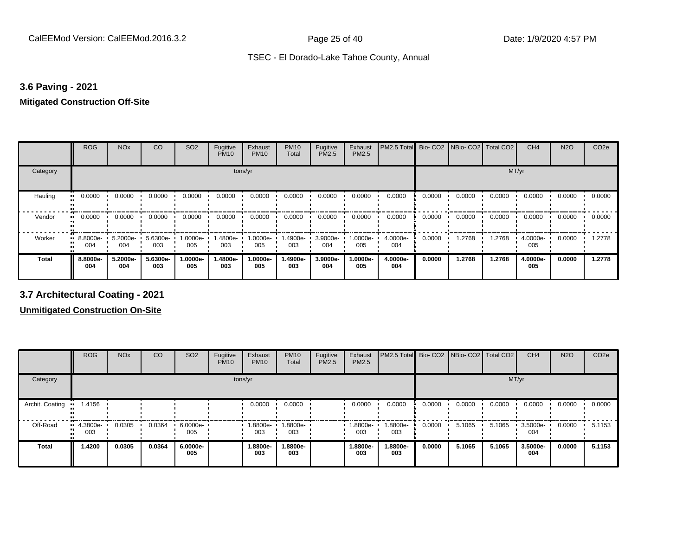#### **3.6 Paving - 2021**

#### **Mitigated Construction Off-Site**

|          | <b>ROG</b>      | <b>NO<sub>x</sub></b> | CO              | SO <sub>2</sub>      | Fugitive<br><b>PM10</b> | Exhaust<br><b>PM10</b> | <b>PM10</b><br>Total | Fugitive<br>PM2.5 | Exhaust<br>PM2.5 | PM2.5 Total Bio- CO2 NBio- CO2 Total CO2 |        |        |        | CH <sub>4</sub> | <b>N2O</b> | CO <sub>2e</sub> |
|----------|-----------------|-----------------------|-----------------|----------------------|-------------------------|------------------------|----------------------|-------------------|------------------|------------------------------------------|--------|--------|--------|-----------------|------------|------------------|
| Category |                 |                       |                 |                      | tons/yr                 |                        |                      |                   |                  |                                          |        |        | MT/yr  |                 |            |                  |
| Hauling  | 0.0000          | 0.0000                | 0.0000          | 0.0000               | 0.0000                  | 0.0000                 | 0.0000               | 0.0000            | 0.0000           | 0.0000                                   | 0.0000 | 0.0000 | 0.0000 | 0.0000          | 0.0000     | 0.0000           |
| Vendor   | 0.0000          | 0.0000                | 0.0000          | 0.0000               | 0.0000                  | 0.0000                 | 0.0000               | 0.0000            | 0.0000           | 0.0000                                   | 0.0000 | 0.0000 | 0.0000 | 0.0000          | 0.0000     | 0.0000           |
| Worker   | 8.8000e-<br>004 | $5.2000e -$<br>004    | 5.6300e-<br>003 | $1.0000e - 1$<br>005 | 1.4800e-<br>003         | 1.0000e-<br>005        | 1.4900e-<br>003      | 3.9000e-<br>004   | 1.0000e-<br>005  | 4.0000e-<br>004                          | 0.0000 | 1.2768 | 1.2768 | 4.0000e-<br>005 | 0.0000     | 1.2778           |
| Total    | 8.8000e-<br>004 | 5.2000e-<br>004       | 5.6300e-<br>003 | 1.0000e-<br>005      | 1.4800e-<br>003         | 1.0000e-<br>005        | 1.4900e-<br>003      | 3.9000e-<br>004   | .0000e-<br>005   | 4.0000e-<br>004                          | 0.0000 | 1.2768 | 1.2768 | 4.0000e-<br>005 | 0.0000     | 1.2778           |

**3.7 Architectural Coating - 2021**

|                 | <b>ROG</b>         | <b>NO<sub>x</sub></b> | CO     | SO <sub>2</sub> | Fugitive<br><b>PM10</b> | Exhaust<br><b>PM10</b> | <b>PM10</b><br>Total | Fugitive<br><b>PM2.5</b> | Exhaust<br><b>PM2.5</b> | PM2.5 Total Bio- CO2 NBio- CO2 |        |        | Total CO <sub>2</sub> | CH <sub>4</sub> | <b>N2O</b> | CO <sub>2e</sub> |
|-----------------|--------------------|-----------------------|--------|-----------------|-------------------------|------------------------|----------------------|--------------------------|-------------------------|--------------------------------|--------|--------|-----------------------|-----------------|------------|------------------|
| Category        |                    |                       |        |                 |                         | tons/yr                |                      |                          |                         |                                |        |        | MT/yr                 |                 |            |                  |
| Archit. Coating | 1.4156             |                       |        |                 |                         | 0.0000                 | 0.0000               |                          | 0.0000                  | 0.0000                         | 0.0000 | 0.0000 | 0.0000                | 0.0000          | 0.0000     | 0.0000           |
| Off-Road        | $-4.3800e-$<br>003 | 0.0305                | 0.0364 | 6.0000e-<br>005 |                         | 1.8800e-<br>003        | 1.8800e-<br>003      |                          | -8800e.<br>003          | 1.8800e-<br>003                | 0.0000 | 5.1065 | 5.1065                | 3.5000e-<br>004 | 0.0000     | 5.1153           |
| <b>Total</b>    | 1.4200             | 0.0305                | 0.0364 | 6.0000e-<br>005 |                         | 1.8800e-<br>003        | 1.8800e-<br>003      |                          | 1.8800e-<br>003         | 1.8800e-<br>003                | 0.0000 | 5.1065 | 5.1065                | 3.5000e-<br>004 | 0.0000     | 5.1153           |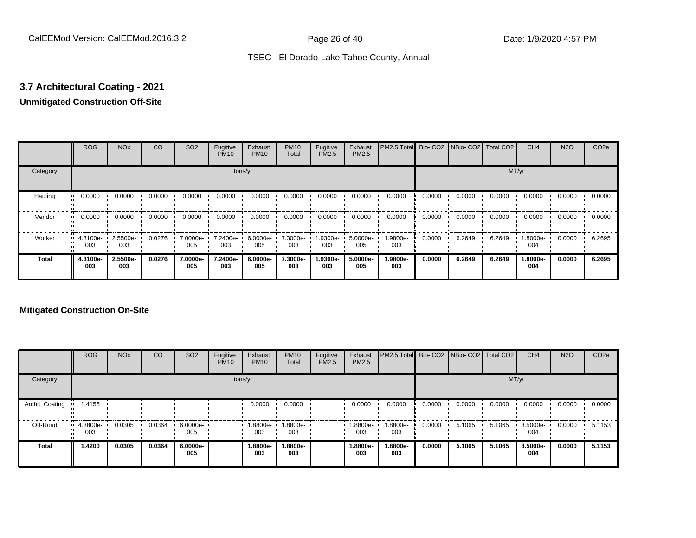# **3.7 Architectural Coating - 2021**

# **Unmitigated Construction Off-Site**

|               | <b>ROG</b>         | <b>NO<sub>x</sub></b> | CO     | SO <sub>2</sub> | Fugitive<br><b>PM10</b> | Exhaust<br><b>PM10</b> | <b>PM10</b><br>Total | Fugitive<br>PM2.5 | Exhaust<br>PM2.5 | PM2.5 Total Bio- CO2 NBio- CO2 Total CO2 |        |        |        | CH <sub>4</sub> | <b>N2O</b> | CO <sub>2e</sub> |
|---------------|--------------------|-----------------------|--------|-----------------|-------------------------|------------------------|----------------------|-------------------|------------------|------------------------------------------|--------|--------|--------|-----------------|------------|------------------|
| Category      |                    |                       |        |                 | tons/yr                 |                        |                      |                   |                  |                                          |        |        | MT/yr  |                 |            |                  |
| Hauling<br>81 | 0.0000             | 0.0000                | 0.0000 | 0.0000          | 0.0000                  | 0.0000                 | 0.0000               | 0.0000            | 0.0000           | 0.0000                                   | 0.0000 | 0.0000 | 0.0000 | 0.0000          | 0.0000     | 0.0000           |
| Vendor        | 0.0000             | 0.0000                | 0.0000 | 0.0000          | 0.0000                  | 0.0000                 | 0.0000               | 0.0000            | 0.0000           | 0.0000                                   | 0.0000 | 0.0000 | 0.0000 | 0.0000          | 0.0000     | 0.0000           |
| Worker        | $-4.3100e-$<br>003 | 2.5500e-<br>003       | 0.0276 | 7.0000e-<br>005 | 7.2400e-<br>003         | 6.0000e-<br>005        | 7.3000e-<br>003      | 1.9300e-<br>003   | 5.0000e-<br>005  | 1.9800e-<br>003                          | 0.0000 | 6.2649 | 6.2649 | 1.8000e-<br>004 | 0.0000     | 6.2695           |
| <b>Total</b>  | 4.3100e-<br>003    | 2.5500e-<br>003       | 0.0276 | 7.0000e-<br>005 | 7.2400e-<br>003         | 6.0000e-<br>005        | 7.3000e-<br>003      | 1.9300e-<br>003   | 5.0000e-<br>005  | 1.9800e-<br>003                          | 0.0000 | 6.2649 | 6.2649 | 1.8000e-<br>004 | 0.0000     | 6.2695           |

|                 | <b>ROG</b>         | <b>NO<sub>x</sub></b> | CO     | SO <sub>2</sub> | Fugitive<br><b>PM10</b> | Exhaust<br><b>PM10</b> | <b>PM10</b><br>Total | Fugitive<br><b>PM2.5</b> | Exhaust<br><b>PM2.5</b> | PM2.5 Total Bio- CO2 NBio- CO2 Total CO2 |        |        |        | CH <sub>4</sub> | <b>N2O</b> | CO <sub>2e</sub> |
|-----------------|--------------------|-----------------------|--------|-----------------|-------------------------|------------------------|----------------------|--------------------------|-------------------------|------------------------------------------|--------|--------|--------|-----------------|------------|------------------|
| Category        |                    |                       |        |                 |                         | tons/yr                |                      |                          |                         |                                          |        |        |        | MT/yr           |            |                  |
| Archit. Coating | 1.4156             |                       |        |                 |                         | 0.0000                 | 0.0000               |                          | 0.0000                  | 0.0000                                   | 0.0000 | 0.0000 | 0.0000 | 0.0000          | 0.0000     | 0.0000           |
| Off-Road        | $-4.3800e-$<br>003 | 0.0305                | 0.0364 | 6.0000e-<br>005 |                         | 1.8800e-<br>003        | 1.8800e-<br>003      |                          | 1.8800e-<br>003         | 1.8800e-<br>003                          | 0.0000 | 5.1065 | 5.1065 | 3.5000e-<br>004 | 0.0000     | 5.1153           |
| <b>Total</b>    | 1.4200             | 0.0305                | 0.0364 | 6.0000e-<br>005 |                         | 1.8800e-<br>003        | 1.8800e-<br>003      |                          | 1.8800e-<br>003         | 1.8800e-<br>003                          | 0.0000 | 5.1065 | 5.1065 | 3.5000e-<br>004 | 0.0000     | 5.1153           |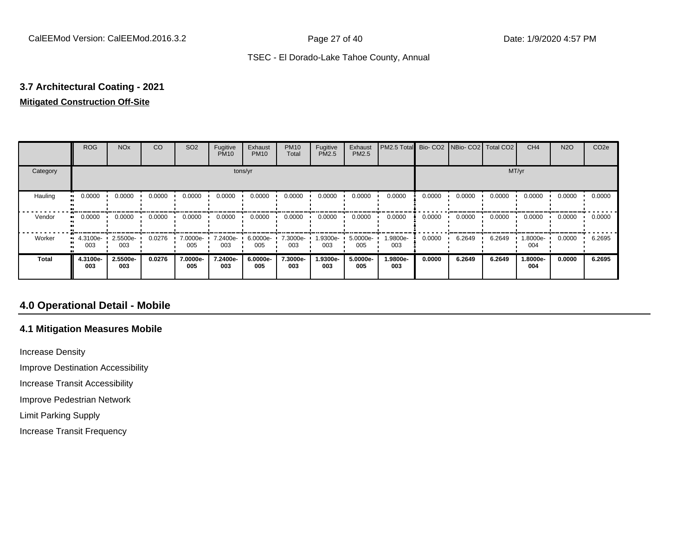# **3.7 Architectural Coating - 2021**

# **Mitigated Construction Off-Site**

|              | <b>ROG</b>                     | <b>NO<sub>x</sub></b> | CO     | SO <sub>2</sub>   | Fugitive<br><b>PM10</b> | Exhaust<br><b>PM10</b> | <b>PM10</b><br>Total | Fugitive<br><b>PM2.5</b> | Exhaust<br>PM2.5 | PM2.5 Total Bio- CO2 NBio- CO2 Total CO2 |        |        |        | CH <sub>4</sub> | <b>N2O</b> | CO <sub>2e</sub> |
|--------------|--------------------------------|-----------------------|--------|-------------------|-------------------------|------------------------|----------------------|--------------------------|------------------|------------------------------------------|--------|--------|--------|-----------------|------------|------------------|
| Category     |                                |                       |        |                   |                         | tons/yr                |                      |                          |                  |                                          |        |        |        | MT/yr           |            |                  |
| Hauling      | 0.0000                         | 0.0000                | 0.0000 | 0.0000            | 0.0000                  | 0.0000                 | 0.0000               | 0.0000                   | 0.0000           | 0.0000                                   | 0.0000 | 0.0000 | 0.0000 | 0.0000          | 0.0000     | 0.0000           |
| Vendor       | 0.0000<br>                     | 0.0000                | 0.0000 | 0.0000            | 0.0000                  | 0.0000                 | 0.0000               | 0.0000                   | 0.0000           | 0.0000                                   | 0.0000 | 0.0000 | 0.0000 | 0.0000          | 0.0000     | 0.0000           |
| Worker       | $\blacksquare$ 4.3100e-<br>003 | 2.5500e-<br>003       | 0.0276 | 7.0000e- '<br>005 | 7.2400e-<br>003         | 6.0000e-<br>005        | 7.3000e-<br>003      | 1.9300e-<br>003          | 5.0000e-<br>005  | 1.9800e-<br>003                          | 0.0000 | 6.2649 | 6.2649 | 1.8000e-<br>004 | 0.0000     | 6.2695           |
| <b>Total</b> | 4.3100e-<br>003                | 2.5500e-<br>003       | 0.0276 | 7.0000e-<br>005   | 7.2400e-<br>003         | 6.0000e-<br>005        | 7.3000e-<br>003      | 1.9300e-<br>003          | 5.0000e-<br>005  | 1.9800e-<br>003                          | 0.0000 | 6.2649 | 6.2649 | 1.8000e-<br>004 | 0.0000     | 6.2695           |

# **4.0 Operational Detail - Mobile**

#### **4.1 Mitigation Measures Mobile**

Increase Density

Improve Destination Accessibility

Increase Transit Accessibility

Improve Pedestrian Network

Limit Parking Supply

Increase Transit Frequency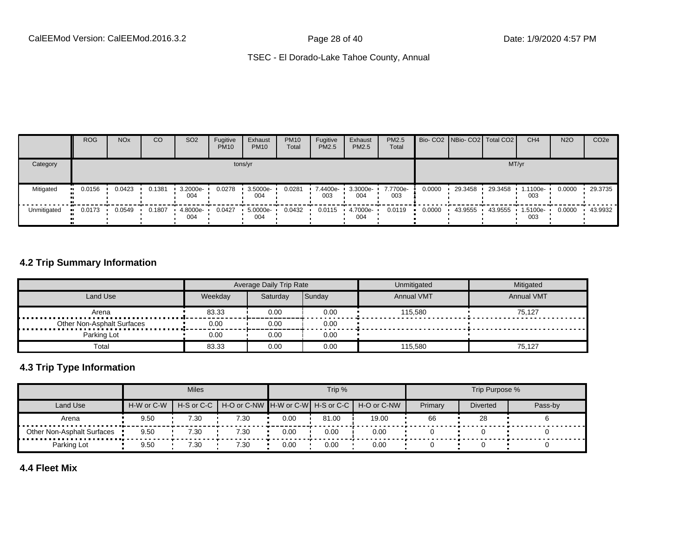|             | <b>ROG</b> | <b>NO<sub>x</sub></b> | CO     | SO <sub>2</sub> | Fugitive<br><b>PM10</b> | Exhaust<br><b>PM10</b> | <b>PM10</b><br>Total | Fugitive<br><b>PM2.5</b> | Exhaust<br><b>PM2.5</b>         | <b>PM2.5</b><br>Total |        |         | Bio- CO2   NBio- CO2   Total CO2 | CH <sub>4</sub> | <b>N2O</b> | CO <sub>2</sub> e |
|-------------|------------|-----------------------|--------|-----------------|-------------------------|------------------------|----------------------|--------------------------|---------------------------------|-----------------------|--------|---------|----------------------------------|-----------------|------------|-------------------|
| Category    |            |                       |        |                 |                         | tons/yr                |                      |                          |                                 |                       |        | MT/yr   |                                  |                 |            |                   |
| Mitigated   | 0.0156     | 0.0423                | 0.1381 | 3.2000e-<br>004 | 0.0278                  | 3.5000e-<br>004        | 0.0281               | 7.4400e-<br>003          | $.3.3000e-$<br>004              | 7.7700e-<br>003       | 0.0000 | 29.3458 | 29.3458                          | 1.1100e-<br>003 | 0.0000     | 29.3735           |
| Unmitigated | 0.0173     | 0.0549                | 0.1807 | 4.8000e-<br>004 | 0.0427                  | 5.0000e-<br>004        | 0.0432               | 0.0115                   | $\cdot$ 4.7000e- $\cdot$<br>004 | 0.0119                | 0.0000 | 43.9555 | 43.9555                          | 1.5100e-<br>003 | 0.0000     | 43.9932           |

#### **4.2 Trip Summary Information**

|                            |         | <b>Average Daily Trip Rate</b> |        | Unmitigated       | Mitigated         |
|----------------------------|---------|--------------------------------|--------|-------------------|-------------------|
| Land Use                   | Weekdav | Saturdav                       | Sunday | <b>Annual VMT</b> | <b>Annual VMT</b> |
| Arena                      | 83.33   | 0.00                           | 0.00   | 115.580           | 75.127            |
| Other Non-Asphalt Surfaces | 0.00    | 0.00                           | 0.00   |                   |                   |
| Parking Lot                | 0.00    | 0.00                           | 0.00   |                   |                   |
| Total                      | 83.33   | 0.00                           | 0.00   | 115.580           | 75.127            |

# **4.3 Trip Type Information**

|                            |            | <b>Miles</b>   |      |      | Trip % |                                               |         | Trip Purpose %  |         |
|----------------------------|------------|----------------|------|------|--------|-----------------------------------------------|---------|-----------------|---------|
| Land Use                   | H-W or C-W | $H-S$ or $C-C$ |      |      |        | H-O or C-NW H-W or C-W H-S or C-C H-O or C-NW | Primary | <b>Diverted</b> | Pass-by |
| Arena                      | 9.50       | 7.30           | 7.30 | 0.00 | 81.00  | 19.00                                         | 66      | 28              |         |
| Other Non-Asphalt Surfaces | 9.50       | 7.30           | 7.30 | 0.00 | 0.00   | 0.00                                          |         |                 |         |
| Parking Lot                | 9.50       | 7.30           | 7.30 | 0.00 | 0.00   | 0.00                                          |         |                 |         |

#### **4.4 Fleet Mix**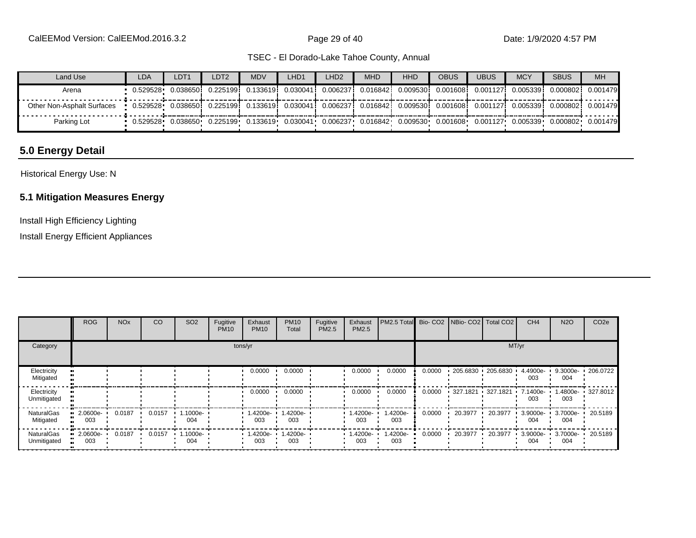| Land Use                   | <b>LDA</b> | LDT <sub>1</sub>    | LDT <sub>2</sub> | <b>MDV</b> | LHD1 | LHD <sub>2</sub>              | <b>MHD</b> | <b>HHD</b>                                                                                               | OBUS      | <b>UBUS</b> | <b>MCY</b>          | <b>SBUS</b> | <b>MH</b> |
|----------------------------|------------|---------------------|------------------|------------|------|-------------------------------|------------|----------------------------------------------------------------------------------------------------------|-----------|-------------|---------------------|-------------|-----------|
| Arena                      |            |                     | 0.225199i        | 0.133619i  |      | 0.030041i 0.006237i 0.016842i |            | 0.009530i                                                                                                | 0.001608i |             | 0.001127i 0.005339i | 0.0008021   | 0.001479  |
| Other Non-Asphalt Surfaces |            |                     |                  |            |      |                               |            | 0.529528   0.038650i   0.225199i   0.133619i   0.030041i   0.006237i   0.016842i   0.009530i   0.001608i |           |             | 0.001127i 0.005339i | 0.0008021   | 0.001479  |
| Parking Lot                |            | 0.529528   0.038650 | 0.225199         |            |      |                               |            | $0.133619$ $0.030041$ $0.006237$ $0.016842$ $0.009530$ $0.001608$                                        |           |             |                     | 0.000802    | 0.001479  |

# **5.0 Energy Detail**

Historical Energy Use: N

#### **5.1 Mitigation Measures Energy**

Install High Efficiency Lighting

Install Energy Efficient Appliances

|                            | ROG             | <b>NO<sub>x</sub></b> | CO     | SO <sub>2</sub>    | Fugitive<br><b>PM10</b> | Exhaust<br><b>PM10</b> | <b>PM10</b><br>Total | Fugitive<br>PM2.5 | Exhaust<br>PM2.5 | PM2.5 Total Bio- CO2 NBio- CO2 Total CO2 |        |                   |          | CH <sub>4</sub> | <b>N2O</b>         | CO <sub>2e</sub>  |
|----------------------------|-----------------|-----------------------|--------|--------------------|-------------------------|------------------------|----------------------|-------------------|------------------|------------------------------------------|--------|-------------------|----------|-----------------|--------------------|-------------------|
| Category                   |                 |                       |        |                    |                         | tons/yr                |                      |                   |                  |                                          |        |                   |          | MT/yr           |                    |                   |
| Electricity<br>Mitigated   |                 |                       |        |                    |                         | 0.0000                 | 0.0000               |                   | 0.0000           | 0.0000                                   | 0.0000 | 205.6830 205.6830 |          | 4.4900e-<br>003 | 004                | 9.3000e- 206.0722 |
| Electricity<br>Unmitigated |                 |                       |        |                    |                         | 0.0000                 | 0.0000               |                   | 0.0000           | 0.0000                                   | 0.0000 | $-327.1821$       | 327.1821 | 7.1400e-<br>003 | 003                | 1.4800e- 327.8012 |
| NaturalGas<br>Mitigated    | 2.0600e-<br>003 | 0.0187                | 0.0157 | $1.1000e -$<br>004 |                         | 1.4200e-<br>003        | 1.4200e-<br>003      |                   | 1.4200e-<br>003  | 1.4200e-<br>003                          | 0.0000 | 20.3977           | 20.3977  | 3.9000e-<br>004 | 3.7000e-<br>004    | 20.5189           |
| NaturalGas<br>Unmitigated  | 2.0600e-<br>003 | 0.0187                | 0.0157 | $1.1000e -$<br>004 |                         | 1.4200e-<br>003        | -4200e-<br>003       |                   | 1.4200e-<br>003  | 1.4200e-<br>003                          | 0.0000 | 20.3977           | 20.3977  | 3.9000e-<br>004 | $3.7000e -$<br>004 | 20.5189           |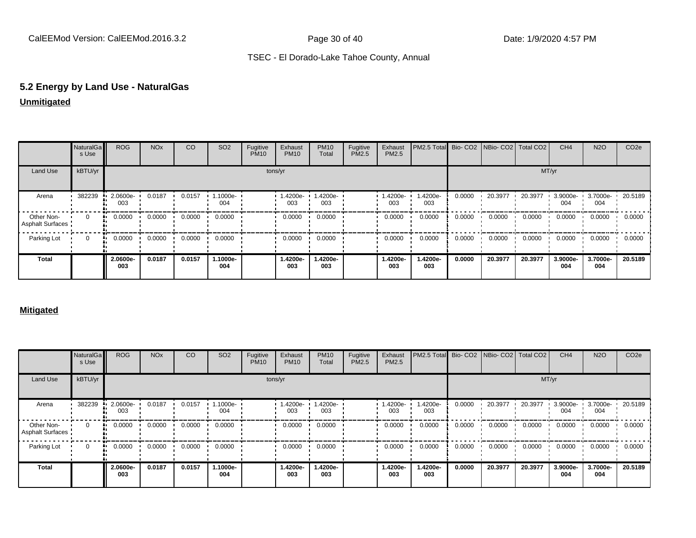# **5.2 Energy by Land Use - NaturalGas**

# **Unmitigated**

|                                       | NaturalGa<br>s Use | <b>ROG</b>      | <b>NO<sub>x</sub></b> | CO     | SO <sub>2</sub> | Fugitive<br><b>PM10</b> | Exhaust<br><b>PM10</b> | <b>PM10</b><br>Total | Fugitive<br>PM2.5 | Exhaust<br>PM2.5 | PM2.5 Total Bio- CO2 NBio- CO2 Total CO2 |        |         |         | CH <sub>4</sub> | <b>N2O</b>      | CO <sub>2e</sub> |
|---------------------------------------|--------------------|-----------------|-----------------------|--------|-----------------|-------------------------|------------------------|----------------------|-------------------|------------------|------------------------------------------|--------|---------|---------|-----------------|-----------------|------------------|
| Land Use                              | kBTU/yr            |                 |                       |        |                 |                         | tons/yr                |                      |                   |                  |                                          |        |         | MT/yr   |                 |                 |                  |
| Arena                                 | 382239             | 2.0600e-<br>003 | 0.0187                | 0.0157 | 1.1000e-<br>004 |                         | 1.4200e-<br>003        | 1.4200e-<br>003      |                   | 1.4200e-<br>003  | -4200e.<br>003                           | 0.0000 | 20.3977 | 20.3977 | 3.9000e-<br>004 | 3.7000e-<br>004 | 20.5189          |
| Other Non-<br><b>Asphalt Surfaces</b> | $\mathbf{0}$       | 0.0000          | 0.0000                | 0.0000 | 0.0000          |                         | 0.0000                 | 0.0000               |                   | 0.0000           | 0.0000                                   | 0.0000 | 0.0000  | 0.0000  | 0.0000          | 0.0000          | 0.0000           |
| Parking Lot                           | $\mathbf{0}$       | 0.0000          | 0.0000                | 0.0000 | 0.0000          |                         | 0.0000                 | 0.0000               |                   | 0.0000           | 0.0000                                   | 0.0000 | 0.0000  | 0.0000  | 0.0000          | 0.0000          | 0.0000           |
| <b>Total</b>                          |                    | 2.0600e-<br>003 | 0.0187                | 0.0157 | 1.1000e-<br>004 |                         | 1.4200e-<br>003        | 1.4200e-<br>003      |                   | 1.4200e-<br>003  | -.4200e<br>003                           | 0.0000 | 20.3977 | 20.3977 | 3.9000e-<br>004 | 3.7000e-<br>004 | 20.5189          |

#### **Mitigated**

|                                       | NaturalGa<br>s Use | <b>ROG</b>      | <b>NO<sub>x</sub></b> | CO     | SO <sub>2</sub> | Fugitive<br><b>PM10</b> | Exhaust<br><b>PM10</b> | <b>PM10</b><br>Total | Fugitive<br>PM2.5 | Exhaust<br>PM2.5 | PM2.5 Total Bio- CO2 NBio- CO2 Total CO2 |        |         |         | CH <sub>4</sub> | <b>N2O</b>         | CO <sub>2e</sub> |
|---------------------------------------|--------------------|-----------------|-----------------------|--------|-----------------|-------------------------|------------------------|----------------------|-------------------|------------------|------------------------------------------|--------|---------|---------|-----------------|--------------------|------------------|
| Land Use                              | kBTU/yr            |                 |                       |        |                 |                         | tons/yr                |                      |                   |                  |                                          |        |         | MT/yr   |                 |                    |                  |
| Arena                                 | 382239             | 2.0600e-<br>003 | 0.0187                | 0.0157 | 1.1000e-<br>004 |                         | 1.4200e-<br>003        | .4200e-<br>003       |                   | 1.4200e-<br>003  | -4200e.<br>003                           | 0.0000 | 20.3977 | 20.3977 | 3.9000e-<br>004 | $3.7000e -$<br>004 | 20.5189          |
| Other Non-<br><b>Asphalt Surfaces</b> | $\mathbf{0}$<br>   | 0.0000          | 0.0000                | 0.0000 | 0.0000          |                         | 0.0000                 | 0.0000               |                   | 0.0000           | 0.0000                                   | 0.0000 | 0.0000  | 0.0000  | 0.0000          | 0.0000             | 0.0000           |
| Parking Lot                           | 0<br>              | 0.0000          | 0.0000                | 0.0000 | 0.0000          |                         | 0.0000                 | 0.0000               |                   | 0.0000           | 0.0000                                   | 0.0000 | 0.0000  | 0.0000  | 0.0000          | 0.0000             | 0.0000           |
| <b>Total</b>                          |                    | 2.0600e-<br>003 | 0.0187                | 0.0157 | 1.1000e-<br>004 |                         | 1.4200e-<br>003        | 1.4200e-<br>003      |                   | 1.4200e-<br>003  | 1.4200e-<br>003                          | 0.0000 | 20,3977 | 20,3977 | 3.9000e-<br>004 | 3.7000e-<br>004    | 20.5189          |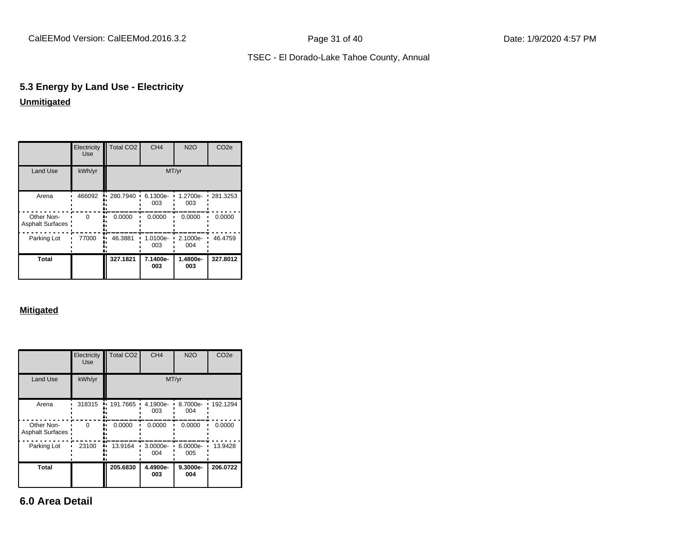CalEEMod Version: CalEEMod.2016.3.2 Page 31 of 40 Date: 1/9/2020 4:57 PM

#### TSEC - El Dorado-Lake Tahoe County, Annual

# **5.3 Energy by Land Use - Electricity Unmitigated**

|                                | Electricity<br><b>Use</b> | <b>Total CO2</b> | CH <sub>4</sub> | <b>N2O</b>      | CO <sub>2e</sub> |
|--------------------------------|---------------------------|------------------|-----------------|-----------------|------------------|
| Land Use                       | kWh/yr                    |                  |                 | MT/yr           |                  |
| Arena                          | 466092                    | 280.7940<br>٠.   | 6.1300e-<br>003 | 1.2700e-<br>003 | 281.3253         |
| Other Non-<br>Asphalt Surfaces | 0                         | 0.0000           | 0.0000          | 0.0000          | 0.0000           |
| Parking Lot                    | 77000                     | 46.3881          | 1.0100e-<br>003 | 2.1000e-<br>004 | 46.4759          |
| Total                          |                           | 327.1821         | 7.1400e-<br>003 | 1.4800e-<br>003 | 327.8012         |

#### **Mitigated**

|                                       | Electricity<br><b>Use</b> | <b>Total CO2</b> | CH <sub>4</sub> | <b>N2O</b>      | CO <sub>2e</sub> |
|---------------------------------------|---------------------------|------------------|-----------------|-----------------|------------------|
| <b>Land Use</b>                       | kWh/yr                    |                  | MT/yr           |                 |                  |
| Arena                                 | 318315                    | 191.7665         | 4.1900e-<br>003 | 8.7000e-<br>004 | 192.1294         |
| Other Non-<br><b>Asphalt Surfaces</b> | $\Omega$                  | 0.0000           | 0.0000          | 0.0000          | 0.0000           |
| Parking Lot                           | 23100                     | 13.9164          | 3.0000e-<br>004 | 6.0000e-<br>005 | 13.9428          |
| <b>Total</b>                          |                           | 205.6830         | 4.4900e-<br>003 | 9.3000e-<br>004 | 206.0722         |

**6.0 Area Detail**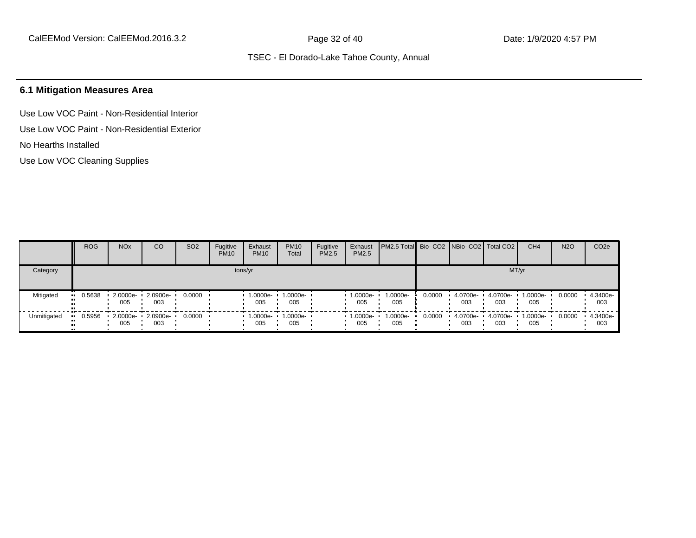# **6.1 Mitigation Measures Area**

Use Low VOC Paint - Non-Residential Interior Use Low VOC Paint - Non-Residential Exterior No Hearths Installed

Use Low VOC Cleaning Supplies

|             | <b>ROG</b>            | <b>NO<sub>x</sub></b> | CO              | SO <sub>2</sub> | Fugitive<br><b>PM10</b> | Exhaust<br><b>PM10</b> | <b>PM10</b><br>Total | Fugitive<br>PM2.5 | Exhaust<br>PM2.5 | <b>PM2.5 Total Bio- CO2 NBio- CO2   Total CO2  </b> |        |                 |                 | CH <sub>4</sub> | <b>N2O</b> | CO <sub>2e</sub> |
|-------------|-----------------------|-----------------------|-----------------|-----------------|-------------------------|------------------------|----------------------|-------------------|------------------|-----------------------------------------------------|--------|-----------------|-----------------|-----------------|------------|------------------|
| Category    |                       |                       |                 |                 | tons/yr                 |                        |                      |                   |                  |                                                     |        |                 |                 | MT/yr           |            |                  |
| Mitigated   | $\blacksquare$ 0.5638 | 2.0000e-<br>005       | 2.0900e-<br>003 | 0.0000          |                         | 1.0000e-<br>005        | 1.0000e-<br>005      |                   | 1.0000e-<br>005  | 1.0000e-<br>005                                     | 0.0000 | 4.0700e-<br>003 | 4.0700e-<br>003 | 1.0000e-<br>005 | 0.0000     | 4.3400e-<br>003  |
| Unmitigated | 0.5956<br>. .         | 2.0000e-<br>005       | 2.0900e-<br>003 | 0.0000          |                         | 1.0000e-<br>005        | 1.0000e-<br>005      |                   | 1.0000e-<br>005  | 1.0000e-<br>005                                     | 0.0000 | 4.0700e-<br>003 | 4.0700e-<br>003 | 1.0000e-<br>005 | 0.0000     | 4.3400e-<br>003  |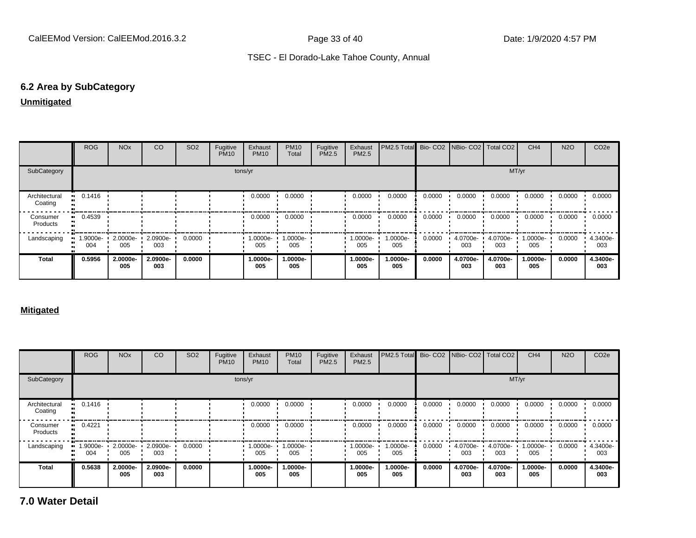#### **6.2 Area by SubCategory**

#### **Unmitigated**

|                          | <b>ROG</b>            | <b>NO<sub>x</sub></b> | <sub>CO</sub>   | SO <sub>2</sub> | Fugitive<br><b>PM10</b> | Exhaust<br><b>PM10</b> | <b>PM10</b><br>Total | Fugitive<br>PM2.5 | Exhaust<br><b>PM2.5</b> | PM2.5 Total Bio- CO2 NBio- CO2 Total CO2 |        |                 |                 | CH <sub>4</sub> | <b>N2O</b> | CO <sub>2e</sub> |
|--------------------------|-----------------------|-----------------------|-----------------|-----------------|-------------------------|------------------------|----------------------|-------------------|-------------------------|------------------------------------------|--------|-----------------|-----------------|-----------------|------------|------------------|
| SubCategory              |                       |                       |                 |                 | tons/yr                 |                        |                      |                   |                         |                                          |        |                 | MT/yr           |                 |            |                  |
| Architectural<br>Coating | $-0.1416$             |                       |                 |                 |                         | 0.0000                 | 0.0000               |                   | 0.0000                  | 0.0000                                   | 0.0000 | 0.0000          | 0.0000          | 0.0000          | 0.0000     | 0.0000           |
| Consumer<br>Products     | $\blacksquare$ 0.4539 |                       |                 |                 |                         | 0.0000                 | 0.0000               |                   | 0.0000                  | 0.0000                                   | 0.0000 | 0.0000          | 0.0000          | 0.0000          | 0.0000     | 0.0000           |
| Landscaping              | 1.9000e-<br>004       | 2.0000e-<br>005       | 2.0900e-<br>003 | 0.0000          |                         | 1.0000e-<br>005        | 1.0000e-<br>005      |                   | 1.0000e-<br>005         | 1.0000e-<br>005                          | 0.0000 | 4.0700e-<br>003 | 4.0700e-<br>003 | 1.0000e-<br>005 | 0.0000     | 4.3400e-<br>003  |
| <b>Total</b>             | 0.5956                | 2.0000e-<br>005       | 2.0900e-<br>003 | 0.0000          |                         | 1.0000e-<br>005        | 1.0000e-<br>005      |                   | 1.0000e-<br>005         | 1.0000e-<br>005                          | 0.0000 | 4.0700e-<br>003 | 4.0700e-<br>003 | 1.0000e-<br>005 | 0.0000     | 4.3400e-<br>003  |

#### **Mitigated**

|                          | ROG    | <b>NO<sub>x</sub></b>      | CO                | SO <sub>2</sub> | Fugitive<br><b>PM10</b> | Exhaust<br><b>PM10</b> | <b>PM10</b><br>Total     | Fugitive<br><b>PM2.5</b> | Exhaust<br><b>PM2.5</b> | <b>PM2.5 Total</b> Bio- CO2 NBio- CO2 Total CO2 |        |                 |                            | CH <sub>4</sub> | <b>N2O</b> | CO <sub>2</sub> e |
|--------------------------|--------|----------------------------|-------------------|-----------------|-------------------------|------------------------|--------------------------|--------------------------|-------------------------|-------------------------------------------------|--------|-----------------|----------------------------|-----------------|------------|-------------------|
| SubCategory              |        |                            |                   |                 |                         | tons/yr                |                          |                          |                         |                                                 |        |                 | MT/yr                      |                 |            |                   |
| Architectural<br>Coating | 0.1416 |                            |                   |                 |                         | 0.0000                 | 0.0000                   |                          | 0.0000                  | 0.0000                                          | 0.0000 | 0.0000          | 0.0000                     | 0.0000          | 0.0000     | 0.0000            |
| Consumer<br>Products     | 0.4221 |                            |                   |                 |                         | 0.0000                 | 0.0000                   |                          | 0.0000                  | 0.0000                                          | 0.0000 | 0.0000          | 0.0000                     | 0.0000          | 0.0000     | 0.0000            |
| Landscaping              | 004    | 1.9000e- 1 2.0000e-<br>005 | $2.0900e-$<br>003 | 0.0000          |                         | 005                    | 1.0000e- 1.0000e-<br>005 |                          | 1.0000e-<br>005         | 1.0000e-<br>005                                 | 0.0000 | 003             | 4.0700e - 4.0700e -<br>003 | 1.0000e-<br>005 | 0.0000     | 4.3400e-<br>003   |
| <b>Total</b>             | 0.5638 | 2.0000e-<br>005            | 2.0900e-<br>003   | 0.0000          |                         | 1.0000e-<br>005        | 1.0000e-<br>005          |                          | 1.0000e-<br>005         | 1.0000e-<br>005                                 | 0.0000 | 4.0700e-<br>003 | 4.0700e-<br>003            | 1.0000e-<br>005 | 0.0000     | 4.3400e-<br>003   |

**7.0 Water Detail**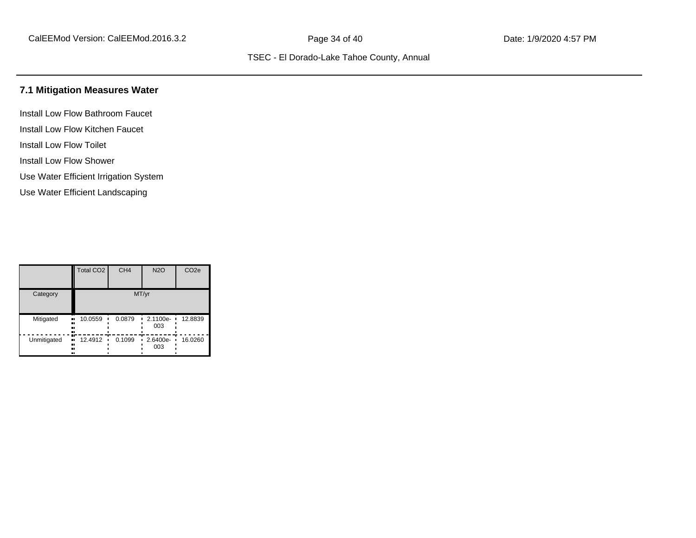#### **7.1 Mitigation Measures Water**

Install Low Flow Bathroom Faucet Install Low Flow Kitchen Faucet Install Low Flow Toilet Install Low Flow Shower Use Water Efficient Irrigation System

Use Water Efficient Landscaping

|             | Total CO <sub>2</sub> | CH <sub>4</sub> | <b>N2O</b>           | CO <sub>2e</sub> |
|-------------|-----------------------|-----------------|----------------------|------------------|
| Category    |                       |                 | MT/yr                |                  |
| Mitigated   | 10.0559<br><br><br>   | 0.0879          | 2.1100e-<br>٠<br>003 | 12.8839          |
| Unmitigated | 12.4912<br><br><br>   | 0.1099          | 2.6400e-<br>٠<br>003 | 16.0260          |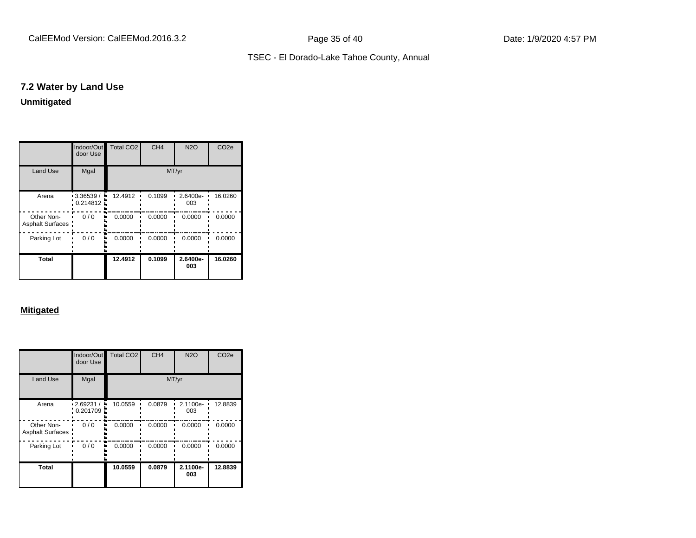#### **7.2 Water by Land Use**

# **Unmitigated**

|                                | door Use             | Indoor/Out Total CO2 | CH <sub>4</sub> | <b>N2O</b>      | CO <sub>2e</sub> |
|--------------------------------|----------------------|----------------------|-----------------|-----------------|------------------|
| <b>Land Use</b>                | Mgal                 |                      |                 | MT/yr           |                  |
| Arena                          | 3.36539/<br>0.214812 | 12.4912              | 0.1099          | 2.6400e-<br>003 | 16.0260          |
| Other Non-<br>Asphalt Surfaces | 0/0                  | 0.0000               | 0.0000          | 0.0000          | 0.0000           |
| Parking Lot                    | 0/0                  | 0.0000               | 0.0000          | 0.0000          | 0.0000           |
| Total                          |                      | 12.4912              | 0.1099          | 2.6400e-<br>003 | 16.0260          |

#### **Mitigated**

|                                | Indoor/Out<br>door Use     | <b>Total CO2</b> | CH <sub>4</sub> | <b>N2O</b>      | CO <sub>2e</sub> |
|--------------------------------|----------------------------|------------------|-----------------|-----------------|------------------|
| <b>Land Use</b>                | Mgal                       |                  |                 | MT/yr           |                  |
| Arena                          | 2.69231/<br>ш,<br>0.201709 | 10.0559          | 0.0879          | 2.1100e-<br>003 | 12.8839          |
| Other Non-<br>Asphalt Surfaces | 0/0                        | 0.0000           | 0.0000          | 0.0000          | 0.0000           |
| Parking Lot                    | 0/0                        | 0.0000           | 0.0000          | 0.0000          | 0.0000           |
| <b>Total</b>                   |                            | 10.0559          | 0.0879          | 2.1100e-<br>003 | 12.8839          |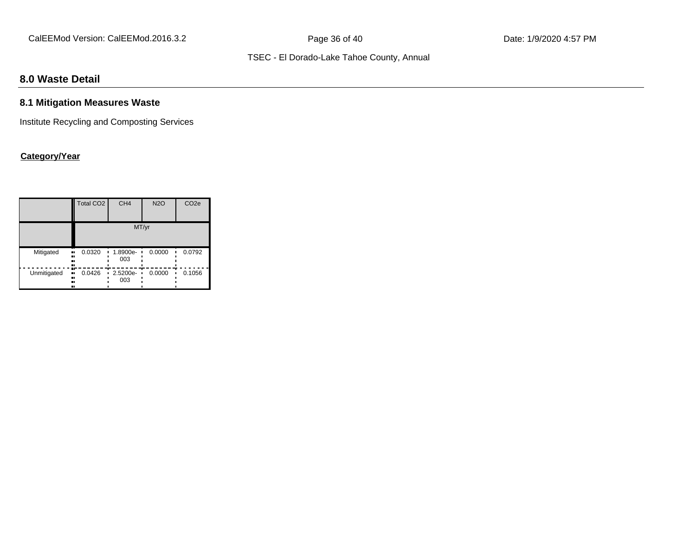# **8.0 Waste Detail**

#### **8.1 Mitigation Measures Waste**

Institute Recycling and Composting Services

### **Category/Year**

|             | Total CO <sub>2</sub>    | CH <sub>4</sub>         | <b>N2O</b> | CO <sub>2e</sub> |  |  |  |
|-------------|--------------------------|-------------------------|------------|------------------|--|--|--|
|             | MT/yr                    |                         |            |                  |  |  |  |
| Mitigated   | 0.0320<br>.,<br><br><br> | 1.8900e-<br>003         | 0.0000     | 0.0792           |  |  |  |
| Unmitigated | 0.0426<br><br><br><br>ш. | $\cdot$ 2.5200e-<br>003 | 0.0000     | 0.1056           |  |  |  |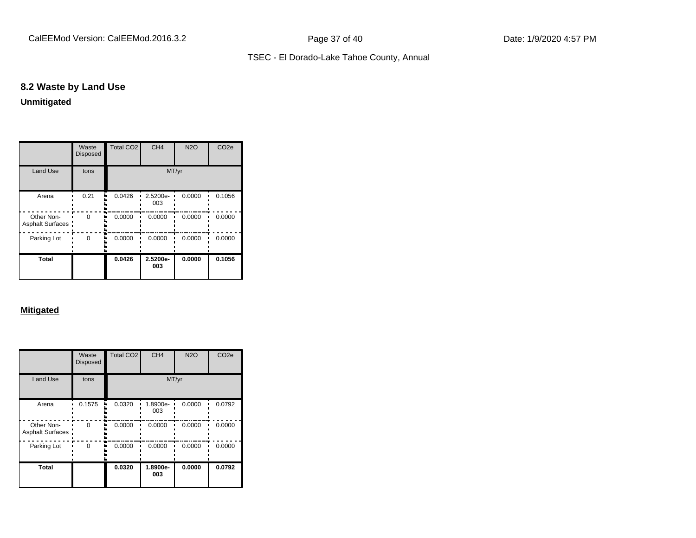## **8.2 Waste by Land Use**

# **Unmitigated**

|                                 | Waste<br><b>Disposed</b> | Total CO <sub>2</sub> | CH <sub>4</sub> | <b>N2O</b> | CO <sub>2e</sub> |
|---------------------------------|--------------------------|-----------------------|-----------------|------------|------------------|
| <b>Land Use</b>                 | tons                     |                       | MT/yr           |            |                  |
| Arena                           | 0.21                     | 0.0426                | 2.5200e-<br>003 | 0.0000     | 0.1056           |
| Other Non-<br>Asphalt Surfaces: | 0                        | 0.0000                | 0.0000          | 0.0000     | 0.0000           |
| Parking Lot                     | 0                        | 0.0000                | 0.0000          | 0.0000     | 0.0000           |
| <b>Total</b>                    |                          | 0.0426                | 2.5200e-<br>003 | 0.0000     | 0.1056           |

#### **Mitigated**

|                                 | Waste<br><b>Disposed</b> | Total CO <sub>2</sub> | CH <sub>4</sub> | N2O    | CO <sub>2e</sub> |
|---------------------------------|--------------------------|-----------------------|-----------------|--------|------------------|
| <b>Land Use</b>                 | tons                     |                       | MT/yr           |        |                  |
| Arena                           | 0.1575                   | 0.0320                | 1.8900e-<br>003 | 0.0000 | 0.0792           |
| Other Non-<br>Asphalt Surfaces: | 0                        | 0.0000                | 0.0000          | 0.0000 | 0.0000           |
| Parking Lot                     | 0                        | 0.0000                | 0.0000          | 0.0000 | 0.0000           |
| Total                           |                          | 0.0320                | 1.8900e-<br>003 | 0.0000 | 0.0792           |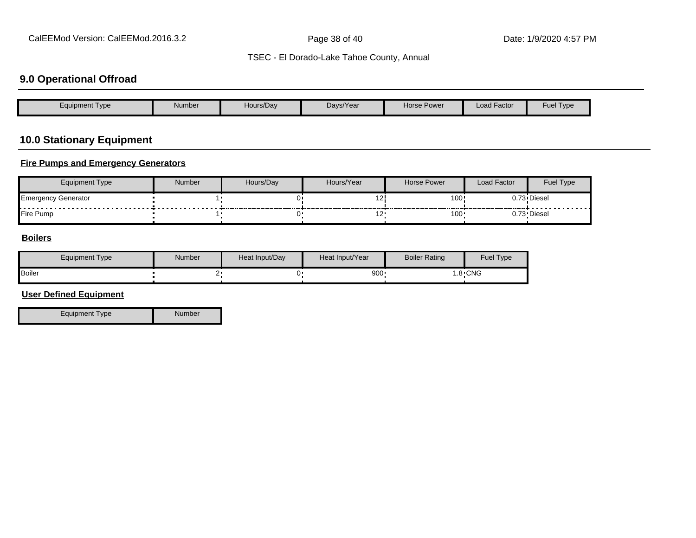# **9.0 Operational Offroad**

| Hours/Dav<br>Davs/Year<br><b>Load Factor</b><br><b>Horse Power</b><br>Equipment Type<br>Number |  |  |  |                         |
|------------------------------------------------------------------------------------------------|--|--|--|-------------------------|
|                                                                                                |  |  |  | <b>Fuel Type</b><br>--- |

# **10.0 Stationary Equipment**

#### **Fire Pumps and Emergency Generators**

| <b>Equipment Type</b>      | <b>Number</b> | Hours/Dav | Hours/Year | <b>Horse Power</b> | Load Factor | Fuel Type          |
|----------------------------|---------------|-----------|------------|--------------------|-------------|--------------------|
| <b>Emergency Generator</b> |               |           |            | 100!               |             | 0.73 Diesel<br>--- |
| Fire Pump                  |               |           |            | 100                |             | 0.73 Diesel        |

#### **Boilers**

| <b>Equipment Type</b> | Number | Heat Input/Day | Heat Input/Year | <b>Boiler Rating</b> | Fuel Type                               |
|-----------------------|--------|----------------|-----------------|----------------------|-----------------------------------------|
| Boiler                |        |                | 900             |                      | $1.8$ <sup><math>\cdot</math></sup> CNG |

### **User Defined Equipment**

Equipment Type Number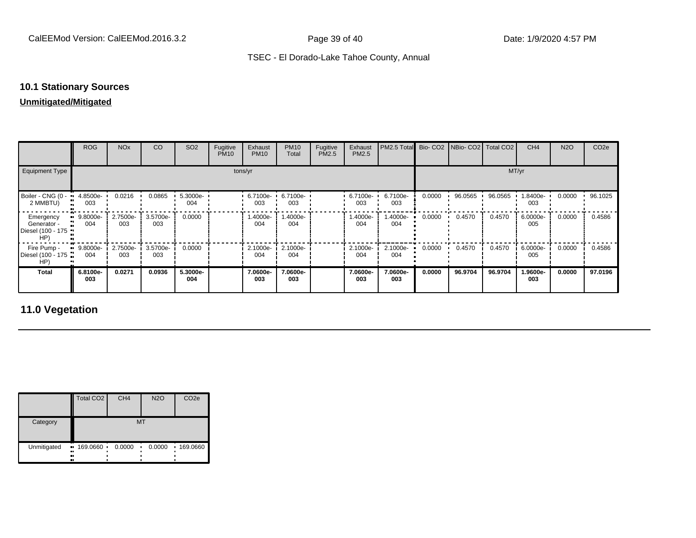#### **10.1 Stationary Sources**

## **Unmitigated/Mitigated**

|                                                      | <b>ROG</b>                      | <b>NO<sub>x</sub></b> | CO              | SO <sub>2</sub> | Fugitive<br><b>PM10</b> | Exhaust<br><b>PM10</b> | <b>PM10</b><br>Total | Fugitive<br>PM2.5 | Exhaust<br>PM2.5 | PM2.5 Total     |        | Bio- CO2 NBio- CO2 Total CO2 |         | CH <sub>4</sub> | <b>N2O</b> | CO <sub>2e</sub> |
|------------------------------------------------------|---------------------------------|-----------------------|-----------------|-----------------|-------------------------|------------------------|----------------------|-------------------|------------------|-----------------|--------|------------------------------|---------|-----------------|------------|------------------|
| <b>Equipment Type</b>                                | tons/yr                         |                       |                 |                 |                         |                        |                      |                   | MT/yr            |                 |        |                              |         |                 |            |                  |
| Boiler - CNG (0 -<br>2 MMBTU)                        | 4.8500e-<br>003                 | 0.0216                | 0.0865          | 5.3000e-<br>004 |                         | 6.7100e-<br>003        | 6.7100e<br>003       |                   | 6.7100e-<br>003  | 6.7100e-<br>003 | 0.0000 | 96.0565                      | 96.0565 | .8400e-<br>003  | 0.0000     | 96.1025          |
| Emergency<br>Generator -<br>Diesel (100 - 175<br>HP) | 9.8000e-<br>004                 | 2.7500e-<br>003       | 3.5700e-<br>003 | 0.0000          |                         | 1.4000e-<br>004        | .4000e-<br>004       |                   | 1.4000e-<br>004  | 1.4000e-<br>004 | 0.0000 | 0.4570                       | 0.4570  | 6.0000e-<br>005 | 0.0000     | 0.4586           |
| Fire Pump -<br>Diesel (100 - 175<br>HP)              | 9.8000e-<br>$\mathbf{u}$<br>004 | 2.7500e-<br>003       | 3.5700e-<br>003 | 0.0000          |                         | 2.1000e-<br>004        | 2.1000e-<br>004      |                   | 2.1000e-<br>004  | 2.1000e-<br>004 | 0.0000 | 0.4570                       | 0.4570  | 6.0000e-<br>005 | 0.0000     | 0.4586           |
| <b>Total</b>                                         | 6.8100e-<br>003                 | 0.0271                | 0.0936          | 5.3000e-<br>004 |                         | 7.0600e-<br>003        | 7.0600e-<br>003      |                   | 7.0600e-<br>003  | 7.0600e-<br>003 | 0.0000 | 96.9704                      | 96.9704 | 1.9600e-<br>003 | 0.0000     | 97.0196          |

# **11.0 Vegetation**

|                   | Total CO <sub>2</sub>     | CH <sub>4</sub> | <b>N2O</b>  | CO <sub>2e</sub> |
|-------------------|---------------------------|-----------------|-------------|------------------|
| Category          |                           | MT              |             |                  |
| Unmitigated<br>п. | ■ 169.0660<br>٠<br>ш.<br> | 0.0000          | 0.0000<br>٠ | .169.0660        |